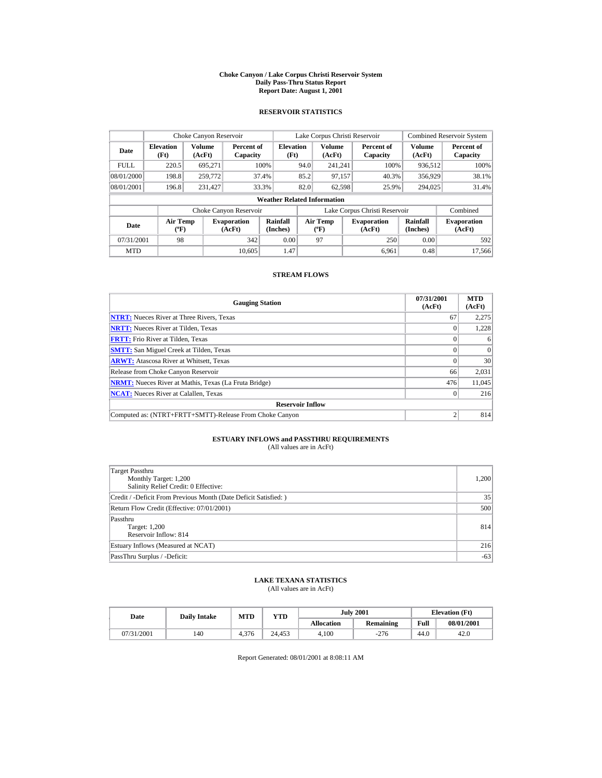#### **Choke Canyon / Lake Corpus Christi Reservoir System Daily Pass-Thru Status Report Report Date: August 1, 2001**

## **RESERVOIR STATISTICS**

|             | Choke Canyon Reservoir                      |                  |                              |                                    |      | Lake Corpus Christi Reservoir     |                               |                      | <b>Combined Reservoir System</b> |
|-------------|---------------------------------------------|------------------|------------------------------|------------------------------------|------|-----------------------------------|-------------------------------|----------------------|----------------------------------|
| Date        | <b>Elevation</b><br>(Ft)                    | Volume<br>(AcFt) | Percent of<br>Capacity       | <b>Elevation</b><br>(Ft)           |      | <b>Volume</b><br>(AcFt)           | Percent of<br>Capacity        | Volume<br>(AcFt)     | Percent of<br>Capacity           |
| <b>FULL</b> | 220.5                                       | 695.271          |                              | 100%                               | 94.0 | 241.241                           | 100%                          | 936.512              | 100%                             |
| 08/01/2000  | 198.8                                       | 259,772          |                              | 37.4%                              | 85.2 | 97,157                            | 40.3%                         | 356,929              | 38.1%                            |
| 08/01/2001  | 196.8                                       | 231.427          |                              | 33.3%                              | 82.0 | 62,598                            | 25.9%                         | 294,025              | 31.4%                            |
|             |                                             |                  |                              | <b>Weather Related Information</b> |      |                                   |                               |                      |                                  |
|             |                                             |                  | Choke Canyon Reservoir       |                                    |      |                                   | Lake Corpus Christi Reservoir |                      | Combined                         |
| Date        | <b>Air Temp</b><br>$({}^{\circ}\mathrm{F})$ |                  | <b>Evaporation</b><br>(AcFt) | Rainfall<br>(Inches)               |      | Air Temp<br>$({}^{\circ}{\rm F})$ | <b>Evaporation</b><br>(AcFt)  | Rainfall<br>(Inches) | <b>Evaporation</b><br>(AcFt)     |
| 07/31/2001  | 98                                          |                  | 342                          | 0.00                               |      | 97                                | 250                           | 0.00                 | 592                              |
| <b>MTD</b>  |                                             |                  | 10.605                       | 1.47                               |      |                                   | 6.961                         | 0.48                 | 17.566                           |

## **STREAM FLOWS**

| <b>Gauging Station</b>                                       | 07/31/2001<br>(AcFt) | <b>MTD</b><br>(AcFt) |
|--------------------------------------------------------------|----------------------|----------------------|
| <b>NTRT:</b> Nueces River at Three Rivers, Texas             | 67                   | 2,275                |
| <b>NRTT:</b> Nueces River at Tilden, Texas                   |                      | 1.228                |
| <b>FRTT:</b> Frio River at Tilden, Texas                     |                      | 6                    |
| <b>SMTT:</b> San Miguel Creek at Tilden, Texas               |                      | $\Omega$             |
| <b>ARWT:</b> Atascosa River at Whitsett, Texas               |                      | 30                   |
| Release from Choke Canyon Reservoir                          | 66                   | 2,031                |
| <b>NRMT:</b> Nueces River at Mathis, Texas (La Fruta Bridge) | 476                  | 11,045               |
| <b>NCAT:</b> Nueces River at Calallen, Texas                 |                      | 216                  |
| <b>Reservoir Inflow</b>                                      |                      |                      |
| Computed as: (NTRT+FRTT+SMTT)-Release From Choke Canyon      |                      | 814                  |

# **ESTUARY INFLOWS and PASSTHRU REQUIREMENTS**<br>(All values are in AcFt)

| Target Passthru<br>Monthly Target: 1,200<br>Salinity Relief Credit: 0 Effective: | 1,200 |
|----------------------------------------------------------------------------------|-------|
| Credit / -Deficit From Previous Month (Date Deficit Satisfied: )                 | 35    |
| Return Flow Credit (Effective: 07/01/2001)                                       | 500   |
| Passthru<br>Target: 1,200<br>Reservoir Inflow: 814                               | 814   |
| Estuary Inflows (Measured at NCAT)                                               | 216   |
| PassThru Surplus / -Deficit:                                                     | $-63$ |

## **LAKE TEXANA STATISTICS**

(All values are in AcFt)

| Date       | <b>Daily Intake</b> | <b>MTD</b> | $_{\rm VTD}$ |                   | <b>July 2001</b> |      | <b>Elevation</b> (Ft) |
|------------|---------------------|------------|--------------|-------------------|------------------|------|-----------------------|
|            |                     |            |              | <b>Allocation</b> | Remaining        | Full | 08/01/2001            |
| 07/31/2001 | 140                 | 4.376      | 24.453       | 4.100             | $-276$           | 44.0 | 42.0                  |

Report Generated: 08/01/2001 at 8:08:11 AM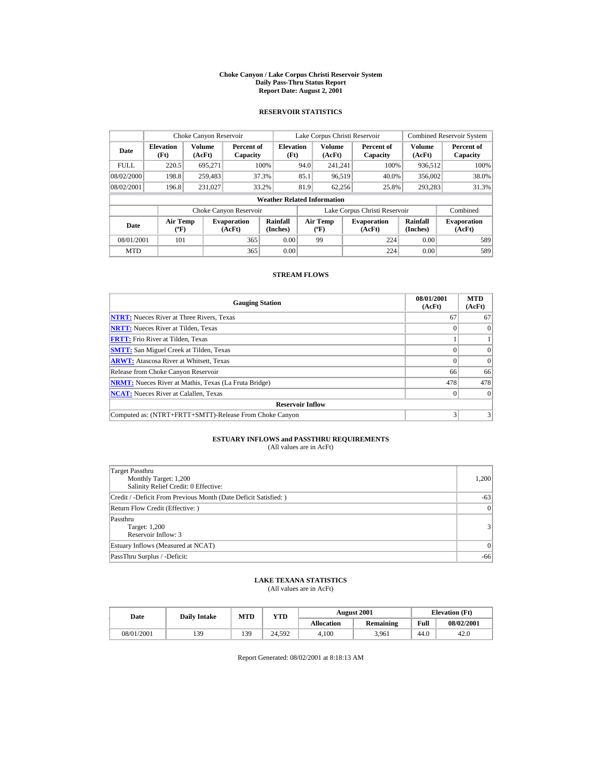#### **Choke Canyon / Lake Corpus Christi Reservoir System Daily Pass-Thru Status Report Report Date: August 2, 2001**

## **RESERVOIR STATISTICS**

|            | Choke Canyon Reservoir               |                         |                              |                                    |      | Lake Corpus Christi Reservoir     |                               |                         | <b>Combined Reservoir System</b> |
|------------|--------------------------------------|-------------------------|------------------------------|------------------------------------|------|-----------------------------------|-------------------------------|-------------------------|----------------------------------|
| Date       | <b>Elevation</b><br>(Ft)             | <b>Volume</b><br>(AcFt) | Percent of<br>Capacity       | <b>Elevation</b><br>(Ft)           |      | <b>Volume</b><br>(AcFt)           | Percent of<br>Capacity        | <b>Volume</b><br>(AcFt) | Percent of<br>Capacity           |
| FULL.      | 220.5                                | 695.271                 |                              | 100%                               | 94.0 | 241.241                           | 100%                          | 936,512                 | 100%                             |
| 08/02/2000 | 198.8                                | 259.483                 |                              | 37.3%                              | 85.1 | 96,519                            | 40.0%                         | 356,002                 | 38.0%                            |
| 08/02/2001 | 196.8                                | 231.027                 |                              | 33.2%                              | 81.9 | 62,256                            | 25.8%                         | 293,283                 | 31.3%                            |
|            |                                      |                         |                              | <b>Weather Related Information</b> |      |                                   |                               |                         |                                  |
|            |                                      |                         | Choke Canyon Reservoir       |                                    |      |                                   | Lake Corpus Christi Reservoir |                         | Combined                         |
| Date       | Air Temp<br>$({}^{\circ}\mathrm{F})$ |                         | <b>Evaporation</b><br>(AcFt) | Rainfall<br>(Inches)               |      | Air Temp<br>$({}^{\circ}{\rm F})$ | <b>Evaporation</b><br>(AcFt)  | Rainfall<br>(Inches)    | <b>Evaporation</b><br>(AcFt)     |
| 08/01/2001 | 101                                  |                         | 365                          | 0.00                               |      | 99                                | 224                           | 0.00                    | 589                              |
| <b>MTD</b> |                                      |                         | 365                          | 0.00                               |      |                                   | 224                           | 0.00                    | 589                              |

## **STREAM FLOWS**

| <b>Gauging Station</b>                                       | 08/01/2001<br>(AcFt) | <b>MTD</b><br>(AcFt) |
|--------------------------------------------------------------|----------------------|----------------------|
| <b>NTRT:</b> Nueces River at Three Rivers, Texas             | 67                   | 67                   |
| <b>NRTT:</b> Nueces River at Tilden, Texas                   |                      | $\Omega$             |
| <b>FRTT:</b> Frio River at Tilden, Texas                     |                      |                      |
| <b>SMTT:</b> San Miguel Creek at Tilden, Texas               |                      | $\Omega$             |
| <b>ARWT:</b> Atascosa River at Whitsett, Texas               |                      | $\Omega$             |
| Release from Choke Canyon Reservoir                          | 66                   | 66                   |
| <b>NRMT:</b> Nueces River at Mathis, Texas (La Fruta Bridge) | 478                  | 478                  |
| <b>NCAT:</b> Nueces River at Calallen, Texas                 |                      | $\Omega$             |
| <b>Reservoir Inflow</b>                                      |                      |                      |
| Computed as: (NTRT+FRTT+SMTT)-Release From Choke Canyon      |                      | 3                    |

# **ESTUARY INFLOWS and PASSTHRU REQUIREMENTS**<br>(All values are in AcFt)

| Target Passthru<br>Monthly Target: 1,200<br>Salinity Relief Credit: 0 Effective: | 1,200     |
|----------------------------------------------------------------------------------|-----------|
| Credit / -Deficit From Previous Month (Date Deficit Satisfied:)                  | $-63$     |
| Return Flow Credit (Effective: )                                                 | $\vert$ 0 |
| Passthru<br>Target: 1,200<br>Reservoir Inflow: 3                                 | $\vert$ 3 |
| Estuary Inflows (Measured at NCAT)                                               | $\vert$ 0 |
| PassThru Surplus / -Deficit:                                                     | $-66$     |

## **LAKE TEXANA STATISTICS**

(All values are in AcFt)

| Date       | <b>Daily Intake</b> | MTD | <b>August 2001</b><br>YTD |                   |                  |      | <b>Elevation</b> (Ft) |
|------------|---------------------|-----|---------------------------|-------------------|------------------|------|-----------------------|
|            |                     |     |                           | <b>Allocation</b> | <b>Remaining</b> | Full | 08/02/2001            |
| 08/01/2001 | 139                 | 139 | 24.592                    | 4.100             | 3.961            | 44.0 | 42.0                  |

Report Generated: 08/02/2001 at 8:18:13 AM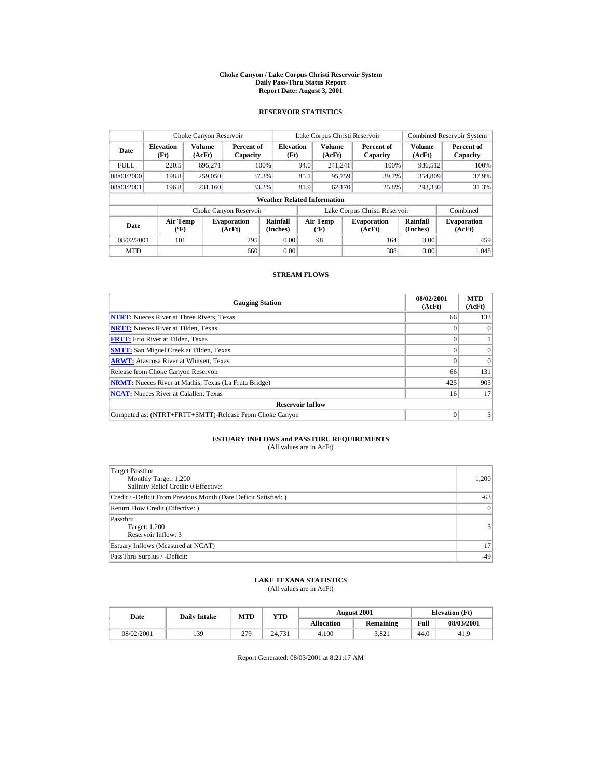#### **Choke Canyon / Lake Corpus Christi Reservoir System Daily Pass-Thru Status Report Report Date: August 3, 2001**

## **RESERVOIR STATISTICS**

|                                                     | Choke Canyon Reservoir   |                              |                        |                                    |                                          | Lake Corpus Christi Reservoir |                               |                              | <b>Combined Reservoir System</b> |
|-----------------------------------------------------|--------------------------|------------------------------|------------------------|------------------------------------|------------------------------------------|-------------------------------|-------------------------------|------------------------------|----------------------------------|
| Date                                                | <b>Elevation</b><br>(Ft) | Volume<br>(AcFt)             | Percent of<br>Capacity | <b>Elevation</b><br>(Ft)           |                                          | <b>Volume</b><br>(AcFt)       | Percent of<br>Capacity        | <b>Volume</b><br>(AcFt)      | Percent of<br>Capacity           |
| <b>FULL</b>                                         | 220.5                    | 695,271                      |                        | 100%                               | 94.0                                     | 241.241                       | 100%                          | 936.512                      | 100%                             |
| 08/03/2000                                          | 198.8                    | 259,050                      |                        | 37.3%                              | 85.1                                     | 95.759                        | 39.7%                         | 354,809                      | 37.9%                            |
| 08/03/2001                                          | 196.8                    | 231.160                      |                        | 33.2%                              | 81.9                                     | 62,170                        | 25.8%                         | 293,330                      | 31.3%                            |
|                                                     |                          |                              |                        | <b>Weather Related Information</b> |                                          |                               |                               |                              |                                  |
|                                                     |                          |                              | Choke Canyon Reservoir |                                    |                                          |                               | Lake Corpus Christi Reservoir |                              | Combined                         |
| <b>Air Temp</b><br>Date<br>$({}^{\circ}\mathrm{F})$ |                          | <b>Evaporation</b><br>(AcFt) | Rainfall<br>(Inches)   |                                    | <b>Air Temp</b><br>$({}^{\circ}{\rm F})$ | <b>Evaporation</b><br>(AcFt)  | Rainfall<br>(Inches)          | <b>Evaporation</b><br>(AcFt) |                                  |
| 08/02/2001                                          | 101                      |                              | 295                    | 0.00                               |                                          | 98                            | 164                           | 0.00                         | 459                              |
| <b>MTD</b>                                          |                          |                              | 660                    | 0.00                               |                                          |                               | 388                           | 0.00                         | 1.048                            |

## **STREAM FLOWS**

| <b>Gauging Station</b>                                       | 08/02/2001<br>(AcFt) | <b>MTD</b><br>(AcFt) |
|--------------------------------------------------------------|----------------------|----------------------|
| <b>NTRT:</b> Nueces River at Three Rivers, Texas             | 66                   | 133                  |
| <b>NRTT:</b> Nueces River at Tilden, Texas                   |                      | $\Omega$             |
| <b>FRTT:</b> Frio River at Tilden, Texas                     |                      |                      |
| <b>SMTT:</b> San Miguel Creek at Tilden, Texas               |                      | $\Omega$             |
| <b>ARWT:</b> Atascosa River at Whitsett, Texas               |                      | $\Omega$             |
| Release from Choke Canyon Reservoir                          | 66                   | 131                  |
| <b>NRMT:</b> Nueces River at Mathis, Texas (La Fruta Bridge) | 425                  | 903                  |
| <b>NCAT:</b> Nueces River at Calallen, Texas                 | 16                   | 17                   |
| <b>Reservoir Inflow</b>                                      |                      |                      |
| Computed as: (NTRT+FRTT+SMTT)-Release From Choke Canyon      |                      | 3                    |

# **ESTUARY INFLOWS and PASSTHRU REQUIREMENTS**<br>(All values are in AcFt)

| Target Passthru<br>Monthly Target: 1,200<br>Salinity Relief Credit: 0 Effective: | 1,200           |
|----------------------------------------------------------------------------------|-----------------|
| Credit / -Deficit From Previous Month (Date Deficit Satisfied:)                  | $-63$           |
| Return Flow Credit (Effective: )                                                 | $\vert$ 0       |
| Passthru<br>Target: 1,200<br>Reservoir Inflow: 3                                 | $\vert$ 3       |
| Estuary Inflows (Measured at NCAT)                                               | 17 <sup>1</sup> |
| PassThru Surplus / -Deficit:                                                     | $-49$           |

## **LAKE TEXANA STATISTICS**

(All values are in AcFt)

| Date       | <b>Daily Intake</b> | MTD | <b>August 2001</b><br>YTD |                   |                  |      | <b>Elevation</b> (Ft) |
|------------|---------------------|-----|---------------------------|-------------------|------------------|------|-----------------------|
|            |                     |     |                           | <b>Allocation</b> | <b>Remaining</b> | Full | 08/03/2001            |
| 08/02/2001 | 139                 | 279 | 24.731                    | 4.100             | 3.821            | 44.0 | 41.9                  |

Report Generated: 08/03/2001 at 8:21:17 AM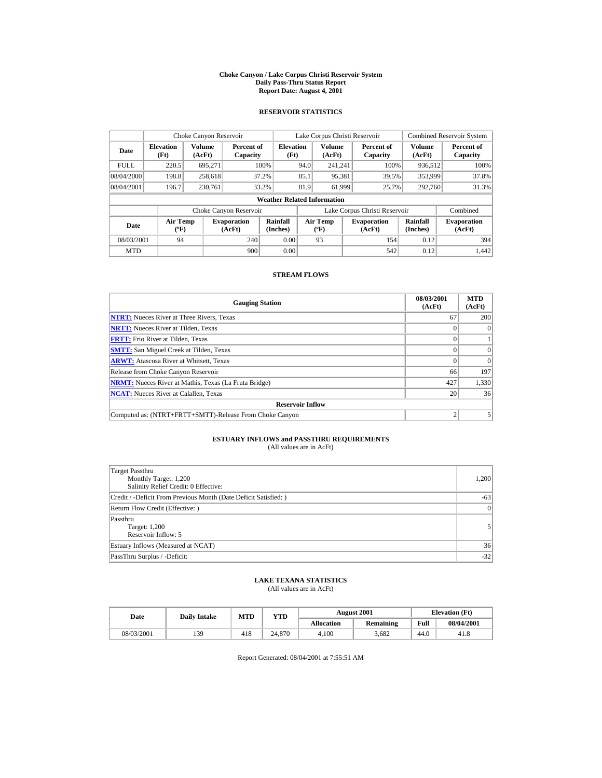#### **Choke Canyon / Lake Corpus Christi Reservoir System Daily Pass-Thru Status Report Report Date: August 4, 2001**

## **RESERVOIR STATISTICS**

|             | Choke Canyon Reservoir                      |                         |                              |                                    |      | Lake Corpus Christi Reservoir        |                               |                         | <b>Combined Reservoir System</b> |
|-------------|---------------------------------------------|-------------------------|------------------------------|------------------------------------|------|--------------------------------------|-------------------------------|-------------------------|----------------------------------|
| Date        | <b>Elevation</b><br>(Ft)                    | <b>Volume</b><br>(AcFt) | Percent of<br>Capacity       | <b>Elevation</b><br>(Ft)           |      | <b>Volume</b><br>(AcFt)              | Percent of<br>Capacity        | <b>Volume</b><br>(AcFt) | Percent of<br>Capacity           |
| <b>FULL</b> | 220.5                                       | 695.271                 |                              | 100%                               | 94.0 | 241.241                              | 100%                          | 936,512                 | 100%                             |
| 08/04/2000  | 198.8                                       | 258,618                 |                              | 37.2%                              | 85.1 | 95,381                               | 39.5%                         | 353,999                 | 37.8%                            |
| 08/04/2001  | 196.7                                       | 230.761                 |                              | 33.2%                              | 81.9 | 61.999                               | 25.7%                         | 292,760                 | 31.3%                            |
|             |                                             |                         |                              | <b>Weather Related Information</b> |      |                                      |                               |                         |                                  |
|             |                                             |                         | Choke Canyon Reservoir       |                                    |      |                                      | Lake Corpus Christi Reservoir |                         | Combined                         |
| Date        | <b>Air Temp</b><br>$({}^{\circ}\mathrm{F})$ |                         | <b>Evaporation</b><br>(AcFt) | Rainfall<br>(Inches)               |      | Air Temp<br>$({}^{\circ}\mathbf{F})$ | <b>Evaporation</b><br>(AcFt)  | Rainfall<br>(Inches)    | <b>Evaporation</b><br>(AcFt)     |
| 08/03/2001  | 94                                          |                         | 240                          | 0.00                               |      | 93                                   | 154                           | 0.12                    | 394                              |
| <b>MTD</b>  |                                             |                         | 900                          | 0.00                               |      |                                      | 542                           | 0.12                    | 1.442                            |

## **STREAM FLOWS**

| <b>Gauging Station</b>                                       | 08/03/2001<br>(AcFt) | <b>MTD</b><br>(AcFt) |
|--------------------------------------------------------------|----------------------|----------------------|
| <b>NTRT:</b> Nueces River at Three Rivers, Texas             | 67                   | 200                  |
| <b>NRTT:</b> Nueces River at Tilden, Texas                   |                      | $\Omega$             |
| <b>FRTT:</b> Frio River at Tilden, Texas                     |                      |                      |
| <b>SMTT:</b> San Miguel Creek at Tilden, Texas               |                      | $\Omega$             |
| <b>ARWT:</b> Atascosa River at Whitsett, Texas               |                      | $\Omega$             |
| Release from Choke Canyon Reservoir                          | 66                   | 197                  |
| <b>NRMT:</b> Nueces River at Mathis, Texas (La Fruta Bridge) | 427                  | 1,330                |
| <b>NCAT:</b> Nueces River at Calallen, Texas                 | 20                   | 36                   |
| <b>Reservoir Inflow</b>                                      |                      |                      |
| Computed as: (NTRT+FRTT+SMTT)-Release From Choke Canyon      |                      | 5                    |

# **ESTUARY INFLOWS and PASSTHRU REQUIREMENTS**<br>(All values are in AcFt)

| Target Passthru<br>Monthly Target: 1,200<br>Salinity Relief Credit: 0 Effective: | 1,200          |
|----------------------------------------------------------------------------------|----------------|
| Credit / -Deficit From Previous Month (Date Deficit Satisfied:)                  | $-63$          |
| Return Flow Credit (Effective: )                                                 | $\vert$ 0      |
| Passthru<br>Target: 1,200<br>Reservoir Inflow: 5                                 | 5 <sup>1</sup> |
| Estuary Inflows (Measured at NCAT)                                               | 36             |
| PassThru Surplus / -Deficit:                                                     | $-32$          |

## **LAKE TEXANA STATISTICS**

(All values are in AcFt)

| Date       | <b>Daily Intake</b> | MTD | YTD    |                   | <b>August 2001</b> |      | <b>Elevation</b> (Ft) |
|------------|---------------------|-----|--------|-------------------|--------------------|------|-----------------------|
|            |                     |     |        | <b>Allocation</b> | <b>Remaining</b>   | Full | 08/04/2001            |
| 08/03/2001 | 139                 | 418 | 24.870 | 4.100             | 3.682              | 44.0 | 41.8                  |

Report Generated: 08/04/2001 at 7:55:51 AM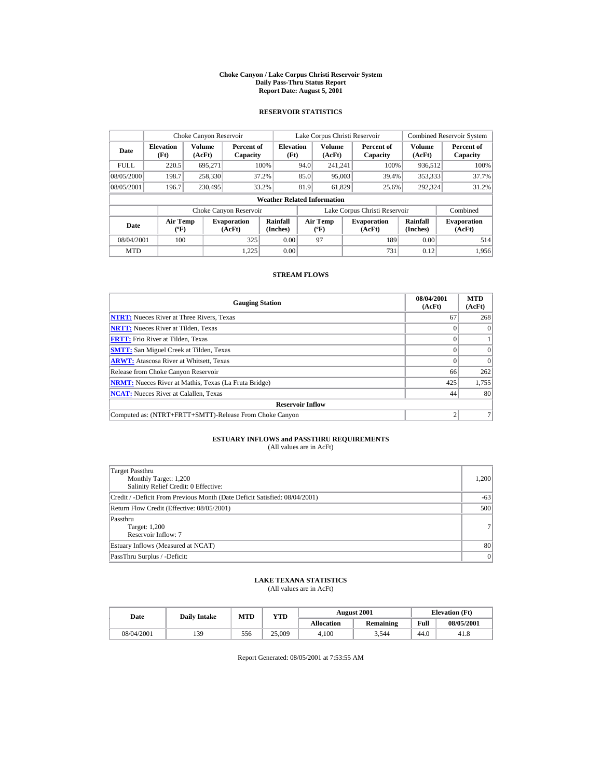#### **Choke Canyon / Lake Corpus Christi Reservoir System Daily Pass-Thru Status Report Report Date: August 5, 2001**

## **RESERVOIR STATISTICS**

|             | Choke Canyon Reservoir               |                         |                              |                                    |      | Lake Corpus Christi Reservoir     |                               |                      | <b>Combined Reservoir System</b> |
|-------------|--------------------------------------|-------------------------|------------------------------|------------------------------------|------|-----------------------------------|-------------------------------|----------------------|----------------------------------|
| Date        | <b>Elevation</b><br>(Ft)             | <b>Volume</b><br>(AcFt) | Percent of<br>Capacity       | <b>Elevation</b><br>(Ft)           |      | <b>Volume</b><br>(AcFt)           | Percent of<br>Capacity        | Volume<br>(AcFt)     | Percent of<br>Capacity           |
| <b>FULL</b> | 220.5                                | 695.271                 |                              | 100%                               | 94.0 | 241.241                           | 100%                          | 936,512              | 100%                             |
| 08/05/2000  | 198.7                                | 258,330                 |                              | 37.2%                              | 85.0 | 95,003                            | 39.4%                         | 353,333              | 37.7%                            |
| 08/05/2001  | 196.7                                | 230,495                 |                              | 33.2%                              | 81.9 | 61,829                            | 25.6%                         | 292,324              | 31.2%                            |
|             |                                      |                         |                              | <b>Weather Related Information</b> |      |                                   |                               |                      |                                  |
|             |                                      |                         | Choke Canyon Reservoir       |                                    |      |                                   | Lake Corpus Christi Reservoir |                      | Combined                         |
| Date        | Air Temp<br>$({}^{\circ}\mathrm{F})$ |                         | <b>Evaporation</b><br>(AcFt) | Rainfall<br>(Inches)               |      | Air Temp<br>$({}^{\circ}{\rm F})$ | <b>Evaporation</b><br>(AcFt)  | Rainfall<br>(Inches) | <b>Evaporation</b><br>(AcFt)     |
| 08/04/2001  | 100                                  |                         | 325                          | 0.00                               |      | 97                                | 189                           | 0.00                 | 514                              |
| <b>MTD</b>  |                                      |                         | 1.225                        | 0.00                               |      |                                   | 731                           | 0.12                 | 1.956                            |

## **STREAM FLOWS**

| <b>Gauging Station</b>                                       | 08/04/2001<br>(AcFt) | <b>MTD</b><br>(AcFt) |
|--------------------------------------------------------------|----------------------|----------------------|
| <b>NTRT:</b> Nueces River at Three Rivers, Texas             | 67                   | 268                  |
| <b>NRTT:</b> Nueces River at Tilden, Texas                   |                      | $\Omega$             |
| <b>FRTT:</b> Frio River at Tilden, Texas                     |                      |                      |
| <b>SMTT:</b> San Miguel Creek at Tilden, Texas               |                      | $\Omega$             |
| <b>ARWT:</b> Atascosa River at Whitsett, Texas               |                      | $\Omega$             |
| Release from Choke Canyon Reservoir                          | 66                   | 262                  |
| <b>NRMT:</b> Nueces River at Mathis, Texas (La Fruta Bridge) | 425                  | 1,755                |
| <b>NCAT:</b> Nueces River at Calallen, Texas                 | 44                   | 80                   |
| <b>Reservoir Inflow</b>                                      |                      |                      |
| Computed as: (NTRT+FRTT+SMTT)-Release From Choke Canyon      |                      |                      |

# **ESTUARY INFLOWS and PASSTHRU REQUIREMENTS**<br>(All values are in AcFt)

| Target Passthru<br>Monthly Target: 1,200<br>Salinity Relief Credit: 0 Effective: | 1,200          |
|----------------------------------------------------------------------------------|----------------|
| Credit / -Deficit From Previous Month (Date Deficit Satisfied: 08/04/2001)       | $-63$          |
| Return Flow Credit (Effective: 08/05/2001)                                       | 500            |
| Passthru<br>Target: 1,200<br>Reservoir Inflow: 7                                 | 7 <sup>1</sup> |
| Estuary Inflows (Measured at NCAT)                                               | 80             |
| PassThru Surplus / -Deficit:                                                     | 0              |

## **LAKE TEXANA STATISTICS**

(All values are in AcFt)

| Date       | <b>Daily Intake</b> | <b>MTD</b> | YTD    |                   | <b>August 2001</b> |      | <b>Elevation</b> (Ft) |
|------------|---------------------|------------|--------|-------------------|--------------------|------|-----------------------|
|            |                     |            |        | <b>Allocation</b> | <b>Remaining</b>   | Full | 08/05/2001            |
| 08/04/2001 | 139                 | 556        | 25,009 | 4.100             | 3.544              | 44.0 | 41.8                  |

Report Generated: 08/05/2001 at 7:53:55 AM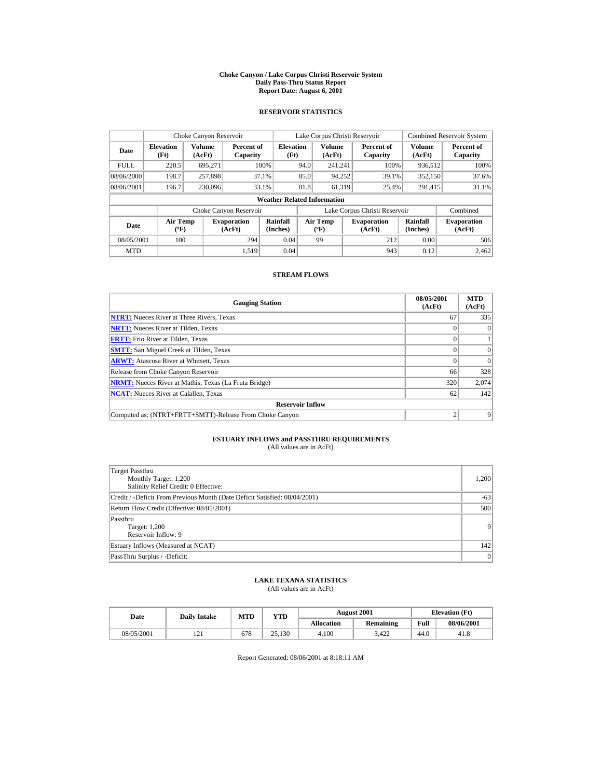#### **Choke Canyon / Lake Corpus Christi Reservoir System Daily Pass-Thru Status Report Report Date: August 6, 2001**

## **RESERVOIR STATISTICS**

| Choke Canyon Reservoir |                                             |                  |                              |                                    |      | Lake Corpus Christi Reservoir     |                               |                      | <b>Combined Reservoir System</b> |
|------------------------|---------------------------------------------|------------------|------------------------------|------------------------------------|------|-----------------------------------|-------------------------------|----------------------|----------------------------------|
| Date                   | <b>Elevation</b><br>(Ft)                    | Volume<br>(AcFt) | Percent of<br>Capacity       | <b>Elevation</b><br>(Ft)           |      | <b>Volume</b><br>(AcFt)           | Percent of<br>Capacity        | Volume<br>(AcFt)     | Percent of<br>Capacity           |
| <b>FULL</b>            | 220.5                                       | 695.271          |                              | 100%                               | 94.0 | 241.241                           | 100%                          | 936.512              | 100%                             |
| 08/06/2000             | 198.7                                       | 257,898          |                              | 37.1%                              | 85.0 | 94,252                            | 39.1%                         | 352,150              | 37.6%                            |
| 08/06/2001             | 196.7                                       | 230,096          |                              | 33.1%                              | 81.8 | 61,319                            | 25.4%                         | 291,415              | 31.1%                            |
|                        |                                             |                  |                              | <b>Weather Related Information</b> |      |                                   |                               |                      |                                  |
|                        |                                             |                  | Choke Canyon Reservoir       |                                    |      |                                   | Lake Corpus Christi Reservoir |                      | Combined                         |
| Date                   | <b>Air Temp</b><br>$({}^{\circ}\mathrm{F})$ |                  | <b>Evaporation</b><br>(AcFt) | Rainfall<br>(Inches)               |      | Air Temp<br>$({}^{\circ}{\rm F})$ | <b>Evaporation</b><br>(AcFt)  | Rainfall<br>(Inches) | <b>Evaporation</b><br>(AcFt)     |
| 08/05/2001             | 100                                         |                  | 294                          | 0.04                               |      | 99                                | 212                           | 0.00                 | 506                              |
| <b>MTD</b>             |                                             |                  | 1.519                        | 0.04                               |      |                                   | 943                           | 0.12                 | 2.462                            |

## **STREAM FLOWS**

| <b>Gauging Station</b>                                       | 08/05/2001<br>(AcFt) | <b>MTD</b><br>(AcFt) |
|--------------------------------------------------------------|----------------------|----------------------|
| <b>NTRT:</b> Nueces River at Three Rivers, Texas             | 67                   | 335                  |
| <b>NRTT:</b> Nueces River at Tilden, Texas                   |                      | $\Omega$             |
| <b>FRTT:</b> Frio River at Tilden, Texas                     |                      |                      |
| <b>SMTT:</b> San Miguel Creek at Tilden, Texas               |                      | $\Omega$             |
| <b>ARWT:</b> Atascosa River at Whitsett, Texas               |                      | $\Omega$             |
| Release from Choke Canyon Reservoir                          | 66                   | 328                  |
| <b>NRMT:</b> Nueces River at Mathis, Texas (La Fruta Bridge) | 320                  | 2,074                |
| <b>NCAT:</b> Nueces River at Calallen, Texas                 | 62                   | 142                  |
| <b>Reservoir Inflow</b>                                      |                      |                      |
| Computed as: (NTRT+FRTT+SMTT)-Release From Choke Canyon      |                      | 9                    |

# **ESTUARY INFLOWS and PASSTHRU REQUIREMENTS**<br>(All values are in AcFt)

| Target Passthru<br>Monthly Target: 1,200<br>Salinity Relief Credit: 0 Effective: | 1,200          |
|----------------------------------------------------------------------------------|----------------|
| Credit / -Deficit From Previous Month (Date Deficit Satisfied: 08/04/2001)       | $-63$          |
| Return Flow Credit (Effective: 08/05/2001)                                       | 500            |
| Passthru<br>Target: 1,200<br>Reservoir Inflow: 9                                 | 9 <sup>1</sup> |
| Estuary Inflows (Measured at NCAT)                                               | 142            |
| PassThru Surplus / -Deficit:                                                     | 0              |

## **LAKE TEXANA STATISTICS**

(All values are in AcFt)

| Date       | <b>Daily Intake</b> | <b>MTD</b> | YTD    |                   | <b>August 2001</b> |      | <b>Elevation</b> (Ft) |
|------------|---------------------|------------|--------|-------------------|--------------------|------|-----------------------|
|            |                     |            |        | <b>Allocation</b> | <b>Remaining</b>   | Full | 08/06/2001            |
| 08/05/2001 | 1/1                 | 678        | 25,130 | 4.100             | 3.422              | 44.0 | 41.8                  |

Report Generated: 08/06/2001 at 8:18:11 AM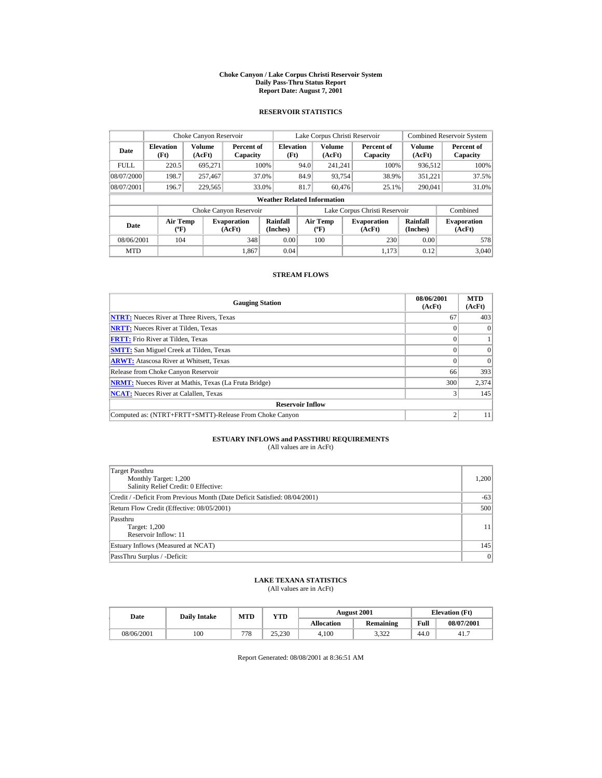#### **Choke Canyon / Lake Corpus Christi Reservoir System Daily Pass-Thru Status Report Report Date: August 7, 2001**

## **RESERVOIR STATISTICS**

| Choke Canyon Reservoir |                                             |                  |                              |                                    |      | Lake Corpus Christi Reservoir     |                               |                      | <b>Combined Reservoir System</b> |  |
|------------------------|---------------------------------------------|------------------|------------------------------|------------------------------------|------|-----------------------------------|-------------------------------|----------------------|----------------------------------|--|
| Date                   | <b>Elevation</b><br>(Ft)                    | Volume<br>(AcFt) | Percent of<br>Capacity       | <b>Elevation</b><br>(Ft)           |      | <b>Volume</b><br>(AcFt)           | Percent of<br>Capacity        | Volume<br>(AcFt)     | Percent of<br>Capacity           |  |
| <b>FULL</b>            | 220.5                                       | 695.271          |                              | 100%                               | 94.0 | 241.241                           | 100%                          | 936.512              | 100%                             |  |
| 08/07/2000             | 198.7                                       | 257.467          |                              | 37.0%                              | 84.9 | 93.754                            | 38.9%                         | 351.221              | 37.5%                            |  |
| 08/07/2001             | 196.7                                       | 229,565          |                              | 33.0%                              | 81.7 | 60,476                            | 25.1%                         | 290,041              | 31.0%                            |  |
|                        |                                             |                  |                              | <b>Weather Related Information</b> |      |                                   |                               |                      |                                  |  |
|                        |                                             |                  | Choke Canyon Reservoir       |                                    |      |                                   | Lake Corpus Christi Reservoir |                      | Combined                         |  |
| Date                   | <b>Air Temp</b><br>$({}^{\circ}\mathrm{F})$ |                  | <b>Evaporation</b><br>(AcFt) | Rainfall<br>(Inches)               |      | Air Temp<br>$({}^{\circ}{\rm F})$ | <b>Evaporation</b><br>(AcFt)  | Rainfall<br>(Inches) | <b>Evaporation</b><br>(AcFt)     |  |
| 08/06/2001             | 104                                         |                  | 348                          | 0.00                               |      | 100                               | 230                           | 0.00                 | 578                              |  |
| <b>MTD</b>             |                                             |                  | 1.867                        | 0.04                               |      |                                   | 1.173                         | 0.12                 | 3.040                            |  |

## **STREAM FLOWS**

| <b>Gauging Station</b>                                       | 08/06/2001<br>(AcFt) | <b>MTD</b><br>(AcFt) |
|--------------------------------------------------------------|----------------------|----------------------|
| <b>NTRT:</b> Nueces River at Three Rivers, Texas             | 67                   | 403                  |
| <b>NRTT:</b> Nueces River at Tilden, Texas                   |                      | $\Omega$             |
| <b>FRTT:</b> Frio River at Tilden, Texas                     |                      |                      |
| <b>SMTT:</b> San Miguel Creek at Tilden, Texas               |                      | $\Omega$             |
| <b>ARWT:</b> Atascosa River at Whitsett, Texas               |                      | $\Omega$             |
| Release from Choke Canyon Reservoir                          | 66                   | 393                  |
| <b>NRMT:</b> Nueces River at Mathis, Texas (La Fruta Bridge) | 300                  | 2,374                |
| <b>NCAT:</b> Nueces River at Calallen, Texas                 |                      | 145                  |
| <b>Reservoir Inflow</b>                                      |                      |                      |
| Computed as: (NTRT+FRTT+SMTT)-Release From Choke Canyon      |                      | 11                   |

# **ESTUARY INFLOWS and PASSTHRU REQUIREMENTS**<br>(All values are in AcFt)

| Target Passthru<br>Monthly Target: 1,200<br>Salinity Relief Credit: 0 Effective: | 1,200 |
|----------------------------------------------------------------------------------|-------|
| Credit / -Deficit From Previous Month (Date Deficit Satisfied: 08/04/2001)       | $-63$ |
| Return Flow Credit (Effective: 08/05/2001)                                       | 500   |
| Passthru<br>Target: 1,200<br>Reservoir Inflow: 11                                | 11    |
| Estuary Inflows (Measured at NCAT)                                               | 145   |
| PassThru Surplus / -Deficit:                                                     | 0     |

## **LAKE TEXANA STATISTICS**

(All values are in AcFt)

| Date       | <b>Daily Intake</b> | <b>MTD</b> | <b>August 2001</b><br>YTD |                   |                        |      | <b>Elevation</b> (Ft) |
|------------|---------------------|------------|---------------------------|-------------------|------------------------|------|-----------------------|
|            |                     |            |                           | <b>Allocation</b> | <b>Remaining</b>       | Full | 08/07/2001            |
| 08/06/2001 | 100                 | 778        | 25.230                    | 4.100             | 2.200<br>J.J <i>LL</i> | 44.0 | 41.7                  |

Report Generated: 08/08/2001 at 8:36:51 AM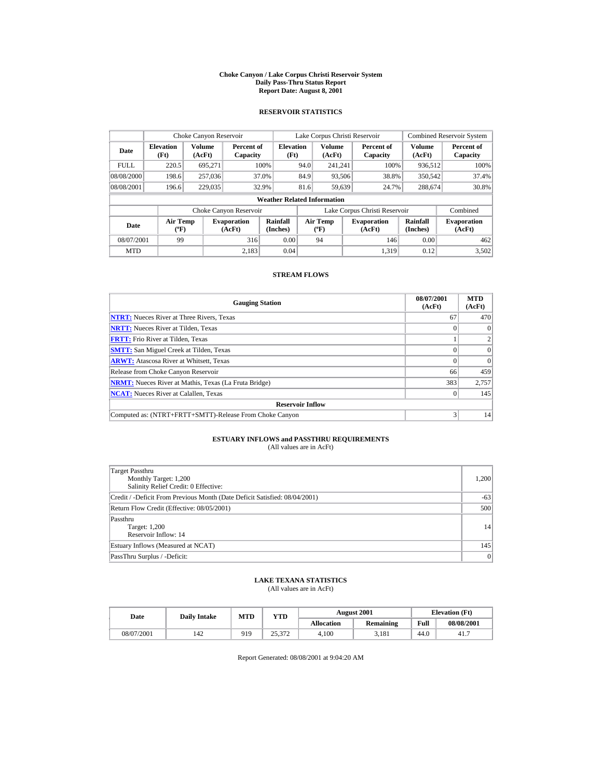#### **Choke Canyon / Lake Corpus Christi Reservoir System Daily Pass-Thru Status Report Report Date: August 8, 2001**

## **RESERVOIR STATISTICS**

| Choke Canyon Reservoir |                                             |                  |                              |                                    |      | Lake Corpus Christi Reservoir            |                               |                      | <b>Combined Reservoir System</b> |
|------------------------|---------------------------------------------|------------------|------------------------------|------------------------------------|------|------------------------------------------|-------------------------------|----------------------|----------------------------------|
| Date                   | <b>Elevation</b><br>(Ft)                    | Volume<br>(AcFt) | Percent of<br>Capacity       | <b>Elevation</b><br>(Ft)           |      | <b>Volume</b><br>(AcFt)                  | Percent of<br>Capacity        | Volume<br>(AcFt)     | Percent of<br>Capacity           |
| <b>FULL</b>            | 220.5                                       | 695.271          |                              | 100%                               | 94.0 | 241.241                                  | 100%                          | 936.512              | 100%                             |
| 08/08/2000             | 198.6                                       | 257,036          |                              | 37.0%                              | 84.9 | 93,506                                   | 38.8%                         | 350,542              | 37.4%                            |
| 08/08/2001             | 196.6                                       | 229,035          |                              | 32.9%                              | 81.6 | 59,639                                   | 24.7%                         | 288,674              | 30.8%                            |
|                        |                                             |                  |                              | <b>Weather Related Information</b> |      |                                          |                               |                      |                                  |
|                        |                                             |                  | Choke Canyon Reservoir       |                                    |      |                                          | Lake Corpus Christi Reservoir |                      | Combined                         |
| Date                   | <b>Air Temp</b><br>$({}^{\circ}\mathrm{F})$ |                  | <b>Evaporation</b><br>(AcFt) | Rainfall<br>(Inches)               |      | <b>Air Temp</b><br>$({}^{\circ}{\rm F})$ | <b>Evaporation</b><br>(AcFt)  | Rainfall<br>(Inches) | <b>Evaporation</b><br>(AcFt)     |
| 08/07/2001             | 99                                          |                  | 316                          | 0.00                               |      | 94                                       | 146                           | 0.00                 | 462                              |
| <b>MTD</b>             |                                             |                  | 2.183                        | 0.04                               |      |                                          | 1.319                         | 0.12                 | 3.502                            |

## **STREAM FLOWS**

| <b>Gauging Station</b>                                       | 08/07/2001<br>(AcFt) | <b>MTD</b><br>(AcFt) |
|--------------------------------------------------------------|----------------------|----------------------|
| <b>NTRT:</b> Nueces River at Three Rivers, Texas             | 67                   | 470                  |
| <b>NRTT:</b> Nueces River at Tilden, Texas                   |                      | $\Omega$             |
| <b>FRTT:</b> Frio River at Tilden, Texas                     |                      |                      |
| <b>SMTT:</b> San Miguel Creek at Tilden, Texas               |                      | $\Omega$             |
| <b>ARWT:</b> Atascosa River at Whitsett, Texas               |                      | $\Omega$             |
| Release from Choke Canyon Reservoir                          | 66                   | 459                  |
| <b>NRMT:</b> Nueces River at Mathis, Texas (La Fruta Bridge) | 383                  | 2,757                |
| <b>NCAT:</b> Nueces River at Calallen, Texas                 |                      | 145                  |
| <b>Reservoir Inflow</b>                                      |                      |                      |
| Computed as: (NTRT+FRTT+SMTT)-Release From Choke Canyon      | 3                    | 14                   |

# **ESTUARY INFLOWS and PASSTHRU REQUIREMENTS**<br>(All values are in AcFt)

| Target Passthru<br>Monthly Target: 1,200<br>Salinity Relief Credit: 0 Effective: | 1,200 |
|----------------------------------------------------------------------------------|-------|
| Credit / -Deficit From Previous Month (Date Deficit Satisfied: 08/04/2001)       | $-63$ |
| Return Flow Credit (Effective: 08/05/2001)                                       | 500   |
| Passthru<br>Target: 1,200<br>Reservoir Inflow: 14                                | 4     |
| Estuary Inflows (Measured at NCAT)                                               | 145   |
| PassThru Surplus / -Deficit:                                                     | 0     |

## **LAKE TEXANA STATISTICS**

(All values are in AcFt)

| Date       | <b>Daily Intake</b> | <b>MTD</b> | <b>August 2001</b><br>YTD |                   |                  |      | <b>Elevation</b> (Ft) |
|------------|---------------------|------------|---------------------------|-------------------|------------------|------|-----------------------|
|            |                     |            |                           | <b>Allocation</b> | <b>Remaining</b> | Full | 08/08/2001            |
| 08/07/2001 | 142                 | 919        | 25.372                    | 4.100             | 3.181            | 44.0 | 41.7                  |

Report Generated: 08/08/2001 at 9:04:20 AM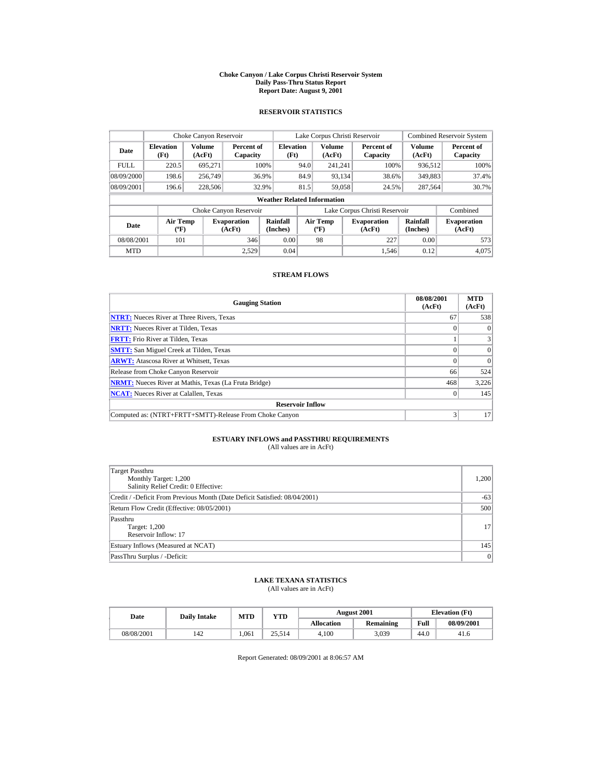#### **Choke Canyon / Lake Corpus Christi Reservoir System Daily Pass-Thru Status Report Report Date: August 9, 2001**

## **RESERVOIR STATISTICS**

|             |                                             | Choke Canyon Reservoir |                              |                                    |      | Lake Corpus Christi Reservoir            |                               |                      | <b>Combined Reservoir System</b> |
|-------------|---------------------------------------------|------------------------|------------------------------|------------------------------------|------|------------------------------------------|-------------------------------|----------------------|----------------------------------|
| Date        | <b>Elevation</b><br>(Ft)                    | Volume<br>(AcFt)       | Percent of<br>Capacity       | <b>Elevation</b><br>(Ft)           |      | <b>Volume</b><br>(AcFt)                  | Percent of<br>Capacity        | Volume<br>(AcFt)     | Percent of<br>Capacity           |
| <b>FULL</b> | 220.5                                       | 695.271                |                              | 100%                               | 94.0 | 241.241                                  | 100%                          | 936.512              | 100%                             |
| 08/09/2000  | 198.6                                       | 256,749                |                              | 36.9%                              | 84.9 | 93,134                                   | 38.6%                         | 349,883              | 37.4%                            |
| 08/09/2001  | 196.6                                       | 228,506                |                              | 32.9%                              | 81.5 | 59,058                                   | 24.5%                         | 287,564              | 30.7%                            |
|             |                                             |                        |                              | <b>Weather Related Information</b> |      |                                          |                               |                      |                                  |
|             |                                             |                        | Choke Canyon Reservoir       |                                    |      |                                          | Lake Corpus Christi Reservoir |                      | Combined                         |
| Date        | <b>Air Temp</b><br>$({}^{\circ}\mathrm{F})$ |                        | <b>Evaporation</b><br>(AcFt) | Rainfall<br>(Inches)               |      | <b>Air Temp</b><br>$({}^{\circ}{\rm F})$ | <b>Evaporation</b><br>(AcFt)  | Rainfall<br>(Inches) | <b>Evaporation</b><br>(AcFt)     |
| 08/08/2001  | 101                                         |                        | 346                          | 0.00                               |      | 98                                       | 227                           | 0.00                 | 573                              |
| <b>MTD</b>  |                                             |                        | 2.529                        | 0.04                               |      |                                          | 1.546                         | 0.12                 | 4.075                            |

## **STREAM FLOWS**

| <b>Gauging Station</b>                                       | 08/08/2001<br>(AcFt) | <b>MTD</b><br>(AcFt) |
|--------------------------------------------------------------|----------------------|----------------------|
| <b>NTRT:</b> Nueces River at Three Rivers, Texas             | 67                   | 538                  |
| <b>NRTT:</b> Nueces River at Tilden, Texas                   |                      | $\Omega$             |
| <b>FRTT:</b> Frio River at Tilden, Texas                     |                      | 3                    |
| <b>SMTT:</b> San Miguel Creek at Tilden, Texas               |                      | $\Omega$             |
| <b>ARWT:</b> Atascosa River at Whitsett, Texas               |                      | $\Omega$             |
| Release from Choke Canyon Reservoir                          | 66                   | 524                  |
| <b>NRMT:</b> Nueces River at Mathis, Texas (La Fruta Bridge) | 468                  | 3,226                |
| <b>NCAT:</b> Nueces River at Calallen, Texas                 |                      | 145                  |
| <b>Reservoir Inflow</b>                                      |                      |                      |
| Computed as: (NTRT+FRTT+SMTT)-Release From Choke Canyon      | 3                    | 17                   |

# **ESTUARY INFLOWS and PASSTHRU REQUIREMENTS**<br>(All values are in AcFt)

| Target Passthru<br>Monthly Target: 1,200<br>Salinity Relief Credit: 0 Effective: | 1,200           |
|----------------------------------------------------------------------------------|-----------------|
| Credit / -Deficit From Previous Month (Date Deficit Satisfied: 08/04/2001)       | $-63$           |
| Return Flow Credit (Effective: 08/05/2001)                                       | 500             |
| Passthru<br>Target: 1,200<br>Reservoir Inflow: 17                                | 17 <sup>1</sup> |
| Estuary Inflows (Measured at NCAT)                                               | 145             |
| PassThru Surplus / -Deficit:                                                     | 0               |

## **LAKE TEXANA STATISTICS**

(All values are in AcFt)

| Date       | <b>Daily Intake</b> |      | <b>August 2001</b><br><b>MTD</b><br>YTD |                   |                  |      | <b>Elevation</b> (Ft) |
|------------|---------------------|------|-----------------------------------------|-------------------|------------------|------|-----------------------|
|            |                     |      |                                         | <b>Allocation</b> | <b>Remaining</b> | Full | 08/09/2001            |
| 08/08/2001 | 142                 | .061 | 25.514                                  | 4.100             | 3.039            | 44.0 | 41.6                  |

Report Generated: 08/09/2001 at 8:06:57 AM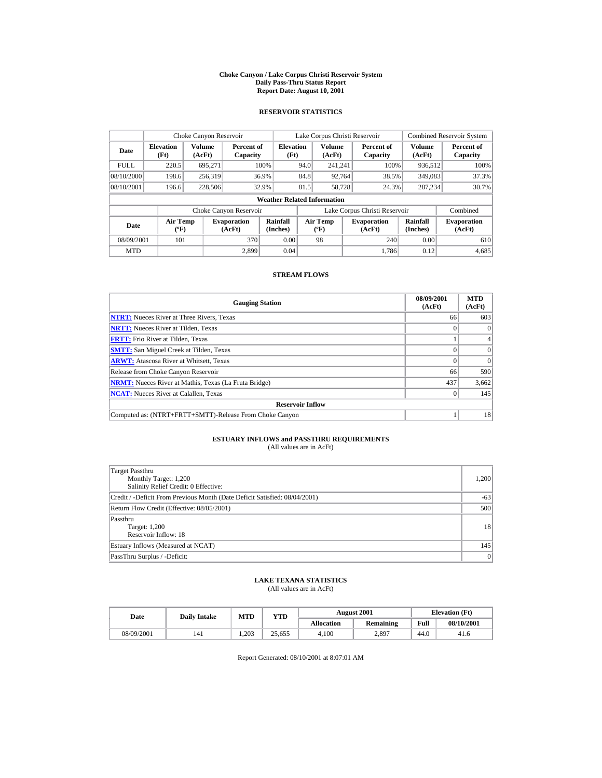#### **Choke Canyon / Lake Corpus Christi Reservoir System Daily Pass-Thru Status Report Report Date: August 10, 2001**

## **RESERVOIR STATISTICS**

|             |                             | Choke Canyon Reservoir  |                              |                                    |      | Lake Corpus Christi Reservoir     |                               |                         | <b>Combined Reservoir System</b> |
|-------------|-----------------------------|-------------------------|------------------------------|------------------------------------|------|-----------------------------------|-------------------------------|-------------------------|----------------------------------|
| Date        | <b>Elevation</b><br>(Ft)    | <b>Volume</b><br>(AcFt) | Percent of<br>Capacity       | <b>Elevation</b><br>(Ft)           |      | <b>Volume</b><br>(AcFt)           | Percent of<br>Capacity        | <b>Volume</b><br>(AcFt) | Percent of<br>Capacity           |
| <b>FULL</b> | 220.5                       | 695,271                 |                              | 100%                               | 94.0 | 241.241                           | 100%                          | 936,512                 | 100%                             |
| 08/10/2000  | 198.6                       | 256,319                 |                              | 36.9%                              | 84.8 | 92.764                            | 38.5%                         | 349,083                 | 37.3%                            |
| 08/10/2001  | 196.6                       | 228,506                 |                              | 32.9%                              | 81.5 | 58,728                            | 24.3%                         | 287,234                 | 30.7%                            |
|             |                             |                         |                              | <b>Weather Related Information</b> |      |                                   |                               |                         |                                  |
|             |                             |                         | Choke Canyon Reservoir       |                                    |      |                                   | Lake Corpus Christi Reservoir |                         | Combined                         |
| Date        | Air Temp<br>$({}^{\circ}F)$ |                         | <b>Evaporation</b><br>(AcFt) | Rainfall<br>(Inches)               |      | Air Temp<br>$({}^{\circ}{\rm F})$ | <b>Evaporation</b><br>(AcFt)  | Rainfall<br>(Inches)    | <b>Evaporation</b><br>(AcFt)     |
| 08/09/2001  | 101                         |                         | 370                          | 0.00                               |      | 98                                | 240                           | 0.00                    | 610                              |
| <b>MTD</b>  |                             |                         | 2.899                        | 0.04                               |      |                                   | 1.786                         | 0.12                    | 4,685                            |

## **STREAM FLOWS**

| <b>Gauging Station</b>                                       | 08/09/2001<br>(AcFt) | <b>MTD</b><br>(AcFt) |
|--------------------------------------------------------------|----------------------|----------------------|
| <b>NTRT:</b> Nueces River at Three Rivers, Texas             | 66                   | 603                  |
| <b>NRTT:</b> Nueces River at Tilden, Texas                   |                      | $\Omega$             |
| <b>FRTT:</b> Frio River at Tilden, Texas                     |                      |                      |
| <b>SMTT:</b> San Miguel Creek at Tilden, Texas               |                      | $\Omega$             |
| <b>ARWT:</b> Atascosa River at Whitsett, Texas               |                      | $\Omega$             |
| Release from Choke Canyon Reservoir                          | 66                   | 590                  |
| <b>NRMT:</b> Nueces River at Mathis, Texas (La Fruta Bridge) | 437                  | 3,662                |
| <b>NCAT:</b> Nueces River at Calallen, Texas                 |                      | 145                  |
| <b>Reservoir Inflow</b>                                      |                      |                      |
| Computed as: (NTRT+FRTT+SMTT)-Release From Choke Canyon      |                      | 18 <sub>1</sub>      |

# **ESTUARY INFLOWS and PASSTHRU REQUIREMENTS**<br>(All values are in AcFt)

| Target Passthru<br>Monthly Target: 1,200<br>Salinity Relief Credit: 0 Effective: | 1,200 |
|----------------------------------------------------------------------------------|-------|
| Credit / -Deficit From Previous Month (Date Deficit Satisfied: 08/04/2001)       | $-63$ |
| Return Flow Credit (Effective: 08/05/2001)                                       | 500   |
| Passthru<br>Target: 1,200<br>Reservoir Inflow: 18                                | 18    |
| Estuary Inflows (Measured at NCAT)                                               | 145   |
| PassThru Surplus / -Deficit:                                                     | 0     |

## **LAKE TEXANA STATISTICS**

(All values are in AcFt)

| Date       | <b>Daily Intake</b> | <b>MTD</b> | YTD    |                   | <b>August 2001</b> |      | <b>Elevation</b> (Ft) |
|------------|---------------------|------------|--------|-------------------|--------------------|------|-----------------------|
|            |                     |            |        | <b>Allocation</b> | <b>Remaining</b>   | Full | 08/10/2001            |
| 08/09/2001 | 141                 | 1.203      | 25,655 | 4.100             | 2,897              | 44.0 | 41.6                  |

Report Generated: 08/10/2001 at 8:07:01 AM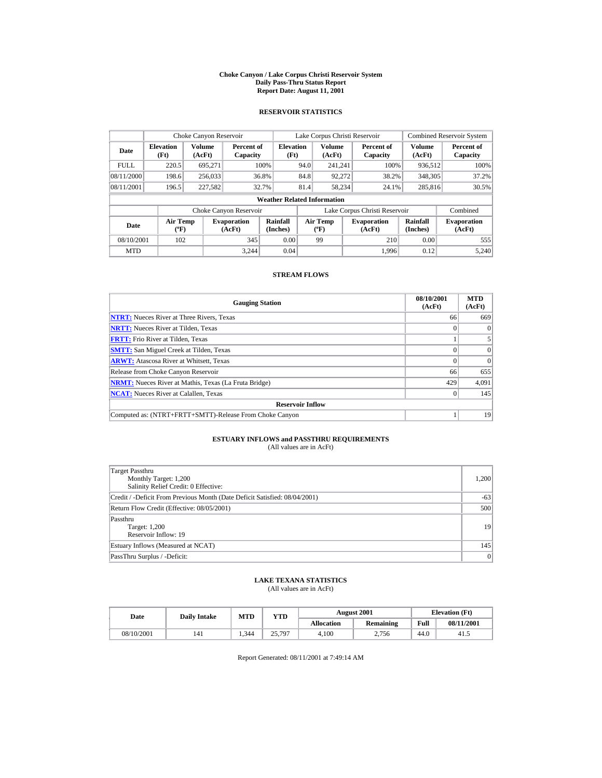#### **Choke Canyon / Lake Corpus Christi Reservoir System Daily Pass-Thru Status Report Report Date: August 11, 2001**

## **RESERVOIR STATISTICS**

|             |                                             | Choke Canyon Reservoir |                              |                                    |      | Lake Corpus Christi Reservoir            |                               |                      | <b>Combined Reservoir System</b> |
|-------------|---------------------------------------------|------------------------|------------------------------|------------------------------------|------|------------------------------------------|-------------------------------|----------------------|----------------------------------|
| Date        | <b>Elevation</b><br>(Ft)                    | Volume<br>(AcFt)       | Percent of<br>Capacity       | <b>Elevation</b><br>(Ft)           |      | <b>Volume</b><br>(AcFt)                  | Percent of<br>Capacity        | Volume<br>(AcFt)     | Percent of<br>Capacity           |
| <b>FULL</b> | 220.5                                       | 695.271                |                              | 100%                               | 94.0 | 241.241                                  | 100%                          | 936.512              | 100%                             |
| 08/11/2000  | 198.6                                       | 256,033                |                              | 36.8%                              | 84.8 | 92.272                                   | 38.2%                         | 348,305              | 37.2%                            |
| 08/11/2001  | 196.5                                       | 227,582                |                              | 32.7%                              | 81.4 | 58,234                                   | 24.1%                         | 285,816              | 30.5%                            |
|             |                                             |                        |                              | <b>Weather Related Information</b> |      |                                          |                               |                      |                                  |
|             |                                             |                        | Choke Canyon Reservoir       |                                    |      |                                          | Lake Corpus Christi Reservoir |                      | Combined                         |
| Date        | <b>Air Temp</b><br>$({}^{\circ}\mathrm{F})$ |                        | <b>Evaporation</b><br>(AcFt) | Rainfall<br>(Inches)               |      | <b>Air Temp</b><br>$({}^{\circ}{\rm F})$ | <b>Evaporation</b><br>(AcFt)  | Rainfall<br>(Inches) | <b>Evaporation</b><br>(AcFt)     |
| 08/10/2001  | 102                                         |                        | 345                          | 0.00                               |      | 99                                       | 210                           | 0.00                 | 555                              |
| <b>MTD</b>  |                                             |                        | 3.244                        | 0.04                               |      |                                          | 1.996                         | 0.12                 | 5.240                            |

## **STREAM FLOWS**

| <b>Gauging Station</b>                                       | 08/10/2001<br>(AcFt) | <b>MTD</b><br>(AcFt) |
|--------------------------------------------------------------|----------------------|----------------------|
| <b>NTRT:</b> Nueces River at Three Rivers, Texas             | 66                   | 669                  |
| <b>NRTT:</b> Nueces River at Tilden, Texas                   |                      | $\Omega$             |
| <b>FRTT:</b> Frio River at Tilden, Texas                     |                      |                      |
| <b>SMTT:</b> San Miguel Creek at Tilden, Texas               |                      | $\Omega$             |
| <b>ARWT:</b> Atascosa River at Whitsett, Texas               |                      | $\Omega$             |
| Release from Choke Canyon Reservoir                          | 66                   | 655                  |
| <b>NRMT:</b> Nueces River at Mathis, Texas (La Fruta Bridge) | 429                  | 4,091                |
| <b>NCAT:</b> Nueces River at Calallen, Texas                 |                      | 145                  |
| <b>Reservoir Inflow</b>                                      |                      |                      |
| Computed as: (NTRT+FRTT+SMTT)-Release From Choke Canyon      |                      | 19                   |

# **ESTUARY INFLOWS and PASSTHRU REQUIREMENTS**<br>(All values are in AcFt)

| Target Passthru<br>Monthly Target: 1,200<br>Salinity Relief Credit: 0 Effective: | 1,200 |
|----------------------------------------------------------------------------------|-------|
| Credit / -Deficit From Previous Month (Date Deficit Satisfied: 08/04/2001)       | $-63$ |
| Return Flow Credit (Effective: 08/05/2001)                                       | 500   |
| Passthru<br>Target: 1,200<br>Reservoir Inflow: 19                                | 19    |
| Estuary Inflows (Measured at NCAT)                                               | 145   |
| PassThru Surplus / -Deficit:                                                     | 0     |

## **LAKE TEXANA STATISTICS**

(All values are in AcFt)

| Date       | <b>Daily Intake</b> | <b>MTD</b> | <b>August 2001</b><br>YTD |                   |                  |      | <b>Elevation</b> (Ft) |
|------------|---------------------|------------|---------------------------|-------------------|------------------|------|-----------------------|
|            |                     |            |                           | <b>Allocation</b> | <b>Remaining</b> | Full | 08/11/2001            |
| 08/10/2001 | 141                 | 1.344      | .707<br>25                | 4.100             | 2.756            | 44.0 | -41.5                 |

Report Generated: 08/11/2001 at 7:49:14 AM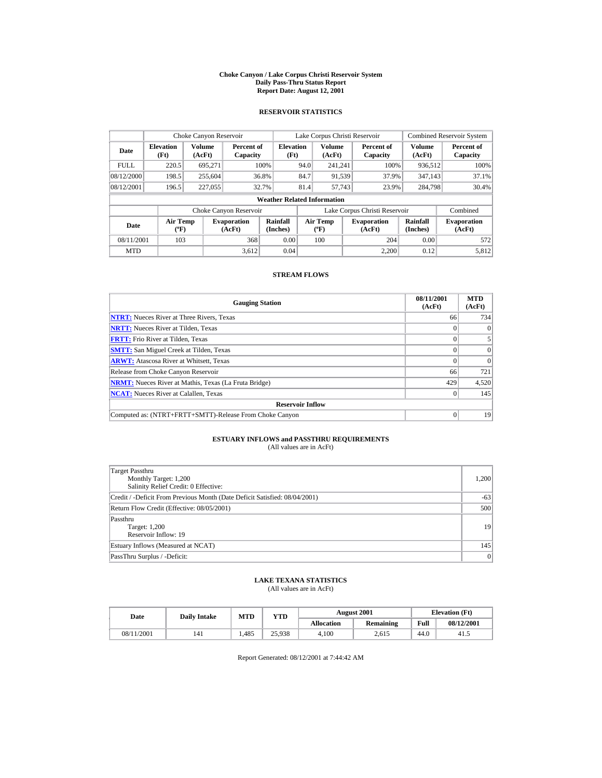#### **Choke Canyon / Lake Corpus Christi Reservoir System Daily Pass-Thru Status Report Report Date: August 12, 2001**

## **RESERVOIR STATISTICS**

|             |                                      | Choke Canyon Reservoir  |                              |                                    |      | Lake Corpus Christi Reservoir        |                               |                         | <b>Combined Reservoir System</b> |
|-------------|--------------------------------------|-------------------------|------------------------------|------------------------------------|------|--------------------------------------|-------------------------------|-------------------------|----------------------------------|
| Date        | <b>Elevation</b><br>(Ft)             | <b>Volume</b><br>(AcFt) | Percent of<br>Capacity       | <b>Elevation</b><br>(Ft)           |      | <b>Volume</b><br>(AcFt)              | Percent of<br>Capacity        | <b>Volume</b><br>(AcFt) | Percent of<br>Capacity           |
| <b>FULL</b> | 220.5                                | 695.271                 |                              | 100%                               | 94.0 | 241.241                              | 100%                          | 936,512                 | 100%                             |
| 08/12/2000  | 198.5                                | 255.604                 |                              | 36.8%                              | 84.7 | 91,539                               | 37.9%                         | 347.143                 | 37.1%                            |
| 08/12/2001  | 196.5                                | 227,055                 |                              | 32.7%                              | 81.4 | 57,743                               | 23.9%                         | 284,798                 | 30.4%                            |
|             |                                      |                         |                              | <b>Weather Related Information</b> |      |                                      |                               |                         |                                  |
|             |                                      |                         | Choke Canyon Reservoir       |                                    |      |                                      | Lake Corpus Christi Reservoir |                         | Combined                         |
| Date        | Air Temp<br>$({}^{\circ}\mathrm{F})$ |                         | <b>Evaporation</b><br>(AcFt) | Rainfall<br>(Inches)               |      | Air Temp<br>$({}^{\circ}\mathbf{F})$ | <b>Evaporation</b><br>(AcFt)  | Rainfall<br>(Inches)    | <b>Evaporation</b><br>(AcFt)     |
| 08/11/2001  | 103                                  |                         | 368                          | 0.00                               |      | 100                                  | 204                           | 0.00                    | 572                              |
| <b>MTD</b>  |                                      |                         | 3.612                        | 0.04                               |      |                                      | 2,200                         | 0.12                    | 5,812                            |

## **STREAM FLOWS**

| <b>Gauging Station</b>                                       | 08/11/2001<br>(AcFt) | <b>MTD</b><br>(AcFt) |
|--------------------------------------------------------------|----------------------|----------------------|
| <b>NTRT:</b> Nueces River at Three Rivers, Texas             | 66                   | 734                  |
| <b>NRTT:</b> Nueces River at Tilden, Texas                   |                      | $\Omega$             |
| <b>FRTT:</b> Frio River at Tilden, Texas                     |                      |                      |
| <b>SMTT:</b> San Miguel Creek at Tilden, Texas               |                      | $\Omega$             |
| <b>ARWT:</b> Atascosa River at Whitsett, Texas               |                      | $\Omega$             |
| Release from Choke Canyon Reservoir                          | 66                   | 721                  |
| <b>NRMT:</b> Nueces River at Mathis, Texas (La Fruta Bridge) | 429                  | 4,520                |
| <b>NCAT:</b> Nueces River at Calallen, Texas                 |                      | 145                  |
| <b>Reservoir Inflow</b>                                      |                      |                      |
| Computed as: (NTRT+FRTT+SMTT)-Release From Choke Canyon      |                      | 19                   |

# **ESTUARY INFLOWS and PASSTHRU REQUIREMENTS**<br>(All values are in AcFt)

| Target Passthru<br>Monthly Target: 1,200<br>Salinity Relief Credit: 0 Effective: | 1,200 |
|----------------------------------------------------------------------------------|-------|
| Credit / -Deficit From Previous Month (Date Deficit Satisfied: 08/04/2001)       | $-63$ |
| Return Flow Credit (Effective: 08/05/2001)                                       | 500   |
| Passthru<br>Target: 1,200<br>Reservoir Inflow: 19                                | 19    |
| Estuary Inflows (Measured at NCAT)                                               | 145   |
| PassThru Surplus / -Deficit:                                                     | 0     |

## **LAKE TEXANA STATISTICS**

(All values are in AcFt)

| Date       | <b>Daily Intake</b> | MTD   | YTD    |                   | <b>August 2001</b> |      | <b>Elevation</b> (Ft) |
|------------|---------------------|-------|--------|-------------------|--------------------|------|-----------------------|
|            |                     |       |        | <b>Allocation</b> | <b>Remaining</b>   | Full | 08/12/2001            |
| 08/11/2001 | 141                 | 1.485 | 25.938 | 4.100             | 2.615              | 44.0 | 41.5                  |

Report Generated: 08/12/2001 at 7:44:42 AM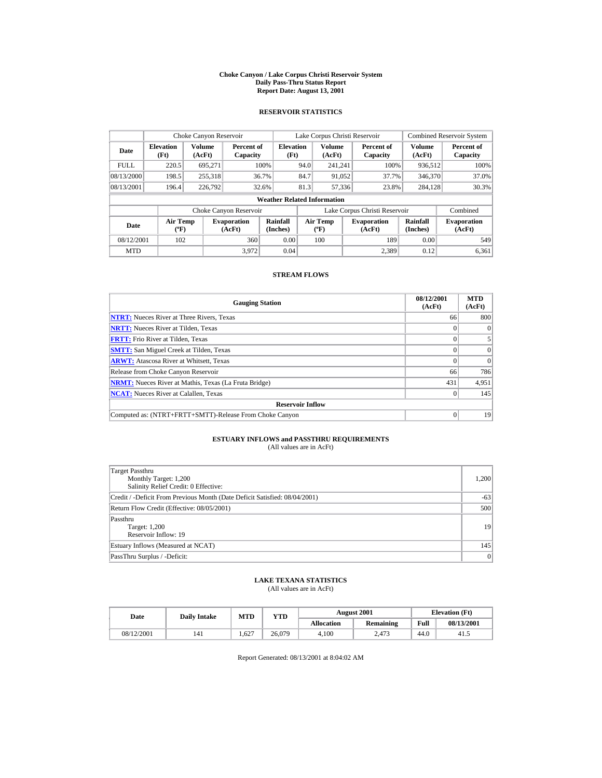#### **Choke Canyon / Lake Corpus Christi Reservoir System Daily Pass-Thru Status Report Report Date: August 13, 2001**

## **RESERVOIR STATISTICS**

| Choke Canyon Reservoir |                             |                         |                              |                                    | Lake Corpus Christi Reservoir |                                      |                               | <b>Combined Reservoir System</b> |                              |
|------------------------|-----------------------------|-------------------------|------------------------------|------------------------------------|-------------------------------|--------------------------------------|-------------------------------|----------------------------------|------------------------------|
| Date                   | <b>Elevation</b><br>(Ft)    | <b>Volume</b><br>(AcFt) | Percent of<br>Capacity       | <b>Elevation</b><br>(Ft)           |                               | <b>Volume</b><br>(AcFt)              | Percent of<br>Capacity        | <b>Volume</b><br>(AcFt)          | Percent of<br>Capacity       |
| <b>FULL</b>            | 220.5                       | 695,271                 |                              | 100%                               | 94.0                          | 241.241                              | 100%                          | 936,512                          | 100%                         |
| 08/13/2000             | 198.5                       | 255,318                 |                              | 36.7%                              | 84.7                          | 91,052                               | 37.7%                         | 346,370                          | 37.0%                        |
| 08/13/2001             | 196.4                       | 226,792                 |                              | 32.6%                              | 81.3                          | 57,336                               | 23.8%                         | 284,128                          | 30.3%                        |
|                        |                             |                         |                              | <b>Weather Related Information</b> |                               |                                      |                               |                                  |                              |
|                        |                             |                         | Choke Canyon Reservoir       |                                    |                               |                                      | Lake Corpus Christi Reservoir |                                  | Combined                     |
| Date                   | Air Temp<br>$({}^{\circ}F)$ |                         | <b>Evaporation</b><br>(AcFt) | Rainfall<br>(Inches)               |                               | Air Temp<br>$({}^{\circ}\mathbf{F})$ | <b>Evaporation</b><br>(AcFt)  | Rainfall<br>(Inches)             | <b>Evaporation</b><br>(AcFt) |
| 08/12/2001             | 102                         |                         | 360                          | 0.00                               |                               | 100                                  | 189                           | 0.00                             | 549                          |
| <b>MTD</b>             |                             |                         | 3,972                        | 0.04                               |                               |                                      | 2,389                         | 0.12                             | 6,361                        |

## **STREAM FLOWS**

| <b>Gauging Station</b>                                       | 08/12/2001<br>(AcFt) | <b>MTD</b><br>(AcFt) |
|--------------------------------------------------------------|----------------------|----------------------|
| <b>NTRT:</b> Nueces River at Three Rivers, Texas             | 66                   | 800                  |
| <b>NRTT:</b> Nueces River at Tilden, Texas                   |                      | $\Omega$             |
| <b>FRTT:</b> Frio River at Tilden, Texas                     |                      |                      |
| <b>SMTT:</b> San Miguel Creek at Tilden, Texas               |                      | $\Omega$             |
| <b>ARWT:</b> Atascosa River at Whitsett, Texas               |                      | $\Omega$             |
| Release from Choke Canyon Reservoir                          | 66                   | 786                  |
| <b>NRMT:</b> Nueces River at Mathis, Texas (La Fruta Bridge) | 431                  | 4,951                |
| <b>NCAT:</b> Nueces River at Calallen, Texas                 |                      | 145                  |
| <b>Reservoir Inflow</b>                                      |                      |                      |
| Computed as: (NTRT+FRTT+SMTT)-Release From Choke Canyon      |                      | 19                   |

# **ESTUARY INFLOWS and PASSTHRU REQUIREMENTS**<br>(All values are in AcFt)

| Target Passthru<br>Monthly Target: 1,200<br>Salinity Relief Credit: 0 Effective: | 1,200 |
|----------------------------------------------------------------------------------|-------|
| Credit / -Deficit From Previous Month (Date Deficit Satisfied: 08/04/2001)       | $-63$ |
| Return Flow Credit (Effective: 08/05/2001)                                       | 500   |
| Passthru<br>Target: 1,200<br>Reservoir Inflow: 19                                | 19    |
| Estuary Inflows (Measured at NCAT)                                               | 145   |
| PassThru Surplus / -Deficit:                                                     | 0     |

## **LAKE TEXANA STATISTICS**

(All values are in AcFt)

| Date       | <b>Daily Intake</b> | MTD   | YTD    |                   | <b>August 2001</b> |      | <b>Elevation</b> (Ft) |
|------------|---------------------|-------|--------|-------------------|--------------------|------|-----------------------|
|            |                     |       |        | <b>Allocation</b> | <b>Remaining</b>   | Full | 08/13/2001            |
| 08/12/2001 | 141                 | 1.627 | 26.079 | 4.100             | 2.473              | 44.0 | 41.5                  |

Report Generated: 08/13/2001 at 8:04:02 AM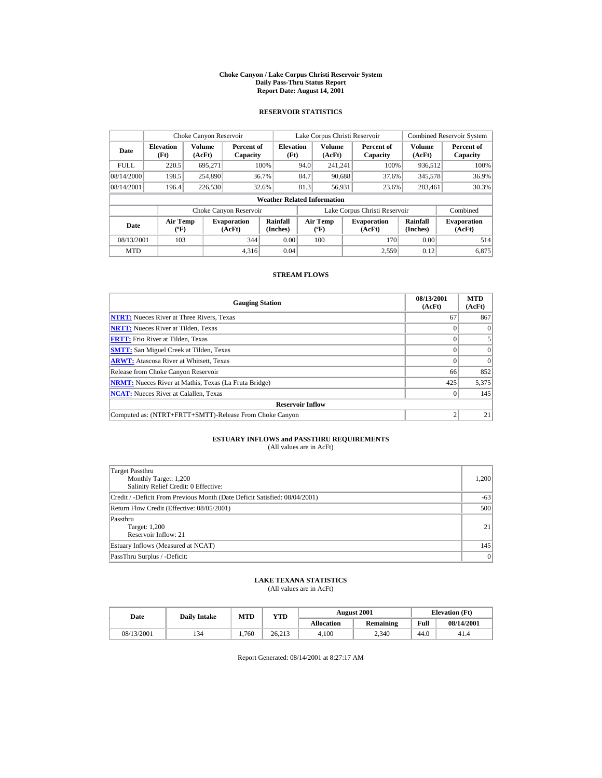#### **Choke Canyon / Lake Corpus Christi Reservoir System Daily Pass-Thru Status Report Report Date: August 14, 2001**

## **RESERVOIR STATISTICS**

|             | Choke Canyon Reservoir           |                  |                              |                                    |      | Lake Corpus Christi Reservoir           |                               |                      | <b>Combined Reservoir System</b> |
|-------------|----------------------------------|------------------|------------------------------|------------------------------------|------|-----------------------------------------|-------------------------------|----------------------|----------------------------------|
| Date        | <b>Elevation</b><br>(Ft)         | Volume<br>(AcFt) | Percent of<br>Capacity       | <b>Elevation</b><br>(Ft)           |      | <b>Volume</b><br>(AcFt)                 | Percent of<br>Capacity        | Volume<br>(AcFt)     | Percent of<br>Capacity           |
| <b>FULL</b> | 220.5                            | 695,271          |                              | 100%                               | 94.0 | 241.241                                 | 100%                          | 936,512              | 100%                             |
| 08/14/2000  | 198.5                            | 254,890          |                              | 36.7%                              | 84.7 | 90,688                                  | 37.6%                         | 345,578              | 36.9%                            |
| 08/14/2001  | 196.4                            | 226,530          |                              | 32.6%                              | 81.3 | 56,931                                  | 23.6%                         | 283,461              | 30.3%                            |
|             |                                  |                  |                              | <b>Weather Related Information</b> |      |                                         |                               |                      |                                  |
|             |                                  |                  | Choke Canyon Reservoir       |                                    |      |                                         | Lake Corpus Christi Reservoir |                      | Combined                         |
| Date        | <b>Air Temp</b><br>$(^{\circ}F)$ |                  | <b>Evaporation</b><br>(AcFt) | Rainfall<br>(Inches)               |      | <b>Air Temp</b><br>$(^{\circ}\text{F})$ | <b>Evaporation</b><br>(AcFt)  | Rainfall<br>(Inches) | <b>Evaporation</b><br>(AcFt)     |
| 08/13/2001  | 103                              |                  | 344                          | 0.00                               |      | 100                                     | 170                           | 0.00                 | 514                              |
| <b>MTD</b>  |                                  |                  | 4.316                        | 0.04                               |      |                                         | 2,559                         | 0.12                 | 6.875                            |

## **STREAM FLOWS**

| <b>Gauging Station</b>                                       | 08/13/2001<br>(AcFt) | <b>MTD</b><br>(AcFt) |
|--------------------------------------------------------------|----------------------|----------------------|
| <b>NTRT:</b> Nueces River at Three Rivers, Texas             | 67                   | 867                  |
| <b>NRTT:</b> Nueces River at Tilden, Texas                   |                      | $\Omega$             |
| <b>FRTT:</b> Frio River at Tilden, Texas                     |                      |                      |
| <b>SMTT:</b> San Miguel Creek at Tilden, Texas               |                      | $\Omega$             |
| <b>ARWT:</b> Atascosa River at Whitsett, Texas               |                      | $\Omega$             |
| Release from Choke Canyon Reservoir                          | 66                   | 852                  |
| <b>NRMT:</b> Nueces River at Mathis, Texas (La Fruta Bridge) | 425                  | 5,375                |
| <b>NCAT:</b> Nueces River at Calallen, Texas                 |                      | 145                  |
| <b>Reservoir Inflow</b>                                      |                      |                      |
| Computed as: (NTRT+FRTT+SMTT)-Release From Choke Canyon      |                      | 21                   |

# **ESTUARY INFLOWS and PASSTHRU REQUIREMENTS**<br>(All values are in AcFt)

| Target Passthru<br>Monthly Target: 1,200<br>Salinity Relief Credit: 0 Effective: | 1,200 |
|----------------------------------------------------------------------------------|-------|
| Credit / -Deficit From Previous Month (Date Deficit Satisfied: 08/04/2001)       | $-63$ |
| Return Flow Credit (Effective: 08/05/2001)                                       | 500   |
| Passthru<br>Target: 1,200<br>Reservoir Inflow: 21                                | 21    |
| Estuary Inflows (Measured at NCAT)                                               | 145   |
| PassThru Surplus / -Deficit:                                                     | 0     |

## **LAKE TEXANA STATISTICS**

(All values are in AcFt)

| Date       | <b>Daily Intake</b> |       | <b>August 2001</b><br>MTD<br>YTD |                   |                  |      | <b>Elevation</b> (Ft) |
|------------|---------------------|-------|----------------------------------|-------------------|------------------|------|-----------------------|
|            |                     |       |                                  | <b>Allocation</b> | <b>Remaining</b> | Full | 08/14/2001            |
| 08/13/2001 | 134                 | 1.760 | 26.213                           | 4.100             | 2.340            | 44.0 | 41.4                  |

Report Generated: 08/14/2001 at 8:27:17 AM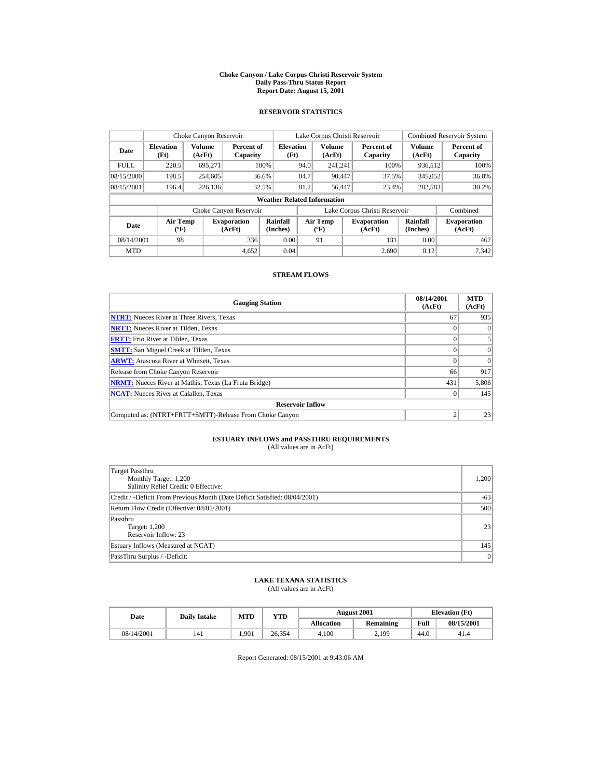#### **Choke Canyon / Lake Corpus Christi Reservoir System Daily Pass-Thru Status Report Report Date: August 15, 2001**

## **RESERVOIR STATISTICS**

| Choke Canyon Reservoir |                                             |                         |                              |                                    | Lake Corpus Christi Reservoir |                                      |                               | <b>Combined Reservoir System</b> |                              |
|------------------------|---------------------------------------------|-------------------------|------------------------------|------------------------------------|-------------------------------|--------------------------------------|-------------------------------|----------------------------------|------------------------------|
| Date                   | <b>Elevation</b><br>(Ft)                    | <b>Volume</b><br>(AcFt) | Percent of<br>Capacity       | <b>Elevation</b><br>(Ft)           |                               | <b>Volume</b><br>(AcFt)              | Percent of<br>Capacity        | <b>Volume</b><br>(AcFt)          | Percent of<br>Capacity       |
| <b>FULL</b>            | 220.5                                       | 695,271                 |                              | 100%                               | 94.0                          | 241.241                              | 100%                          | 936,512                          | 100%                         |
| 08/15/2000             | 198.5                                       | 254,605                 |                              | 36.6%                              | 84.7                          | 90.447                               | 37.5%                         | 345,052                          | 36.8%                        |
| 08/15/2001             | 196.4                                       | 226.136                 |                              | 32.5%                              | 81.2                          | 56,447                               | 23.4%                         | 282,583                          | 30.2%                        |
|                        |                                             |                         |                              | <b>Weather Related Information</b> |                               |                                      |                               |                                  |                              |
|                        |                                             |                         | Choke Canyon Reservoir       |                                    |                               |                                      | Lake Corpus Christi Reservoir |                                  | Combined                     |
| Date                   | <b>Air Temp</b><br>$({}^{\circ}\mathrm{F})$ |                         | <b>Evaporation</b><br>(AcFt) | Rainfall<br>(Inches)               |                               | Air Temp<br>$({}^{\circ}\mathbf{F})$ | <b>Evaporation</b><br>(AcFt)  | Rainfall<br>(Inches)             | <b>Evaporation</b><br>(AcFt) |
| 08/14/2001             | 98                                          |                         | 336                          | 0.00                               |                               | 91                                   | 131                           | 0.00                             | 467                          |
| <b>MTD</b>             |                                             |                         | 4,652                        | 0.04                               |                               |                                      | 2.690                         | 0.12                             | 7.342                        |

## **STREAM FLOWS**

| <b>Gauging Station</b>                                       | 08/14/2001<br>(AcFt) | <b>MTD</b><br>(AcFt) |
|--------------------------------------------------------------|----------------------|----------------------|
| <b>NTRT:</b> Nueces River at Three Rivers, Texas             | 67                   | 935                  |
| <b>NRTT:</b> Nueces River at Tilden, Texas                   |                      | $\Omega$             |
| <b>FRTT:</b> Frio River at Tilden, Texas                     |                      |                      |
| <b>SMTT:</b> San Miguel Creek at Tilden, Texas               |                      | $\Omega$             |
| <b>ARWT:</b> Atascosa River at Whitsett, Texas               |                      | $\Omega$             |
| Release from Choke Canyon Reservoir                          | 66                   | 917                  |
| <b>NRMT:</b> Nueces River at Mathis, Texas (La Fruta Bridge) | 431                  | 5,806                |
| <b>NCAT:</b> Nueces River at Calallen, Texas                 |                      | 145                  |
| <b>Reservoir Inflow</b>                                      |                      |                      |
| Computed as: (NTRT+FRTT+SMTT)-Release From Choke Canyon      |                      | 23                   |

# **ESTUARY INFLOWS and PASSTHRU REQUIREMENTS**<br>(All values are in AcFt)

| Target Passthru<br>Monthly Target: 1,200<br>Salinity Relief Credit: 0 Effective: | 1,200 |
|----------------------------------------------------------------------------------|-------|
| Credit / -Deficit From Previous Month (Date Deficit Satisfied: 08/04/2001)       | $-63$ |
| Return Flow Credit (Effective: 08/05/2001)                                       | 500   |
| Passthru<br>Target: 1,200<br>Reservoir Inflow: 23                                | 23    |
| Estuary Inflows (Measured at NCAT)                                               | 145   |
| PassThru Surplus / -Deficit:                                                     | 0     |

## **LAKE TEXANA STATISTICS**

(All values are in AcFt)

| Date       | <b>Daily Intake</b> | <b>MTD</b> | YTD    |                   | <b>August 2001</b> | <b>Elevation</b> (Ft) |            |
|------------|---------------------|------------|--------|-------------------|--------------------|-----------------------|------------|
|            |                     |            |        | <b>Allocation</b> | <b>Remaining</b>   | Full                  | 08/15/2001 |
| 08/14/2001 | 141                 | 1.901      | 26.354 | 4.100             | 2,199              | 44.0                  | 41.4       |

Report Generated: 08/15/2001 at 9:43:06 AM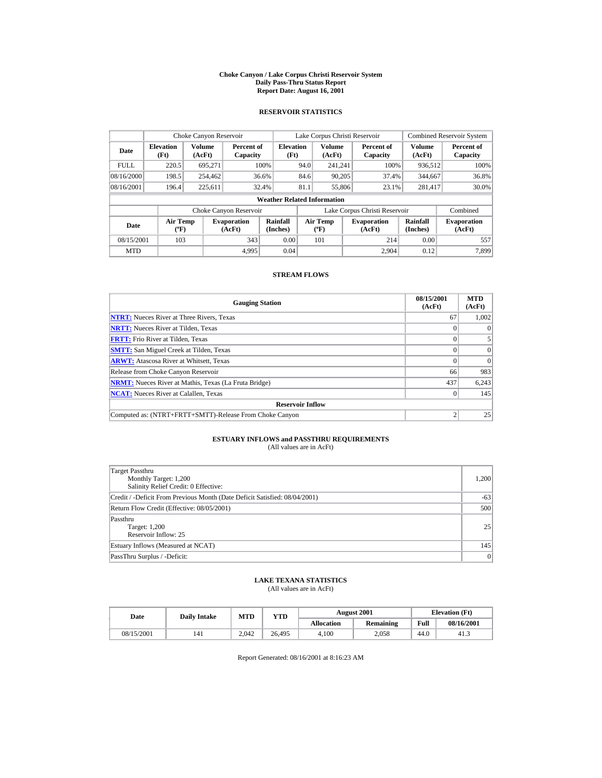#### **Choke Canyon / Lake Corpus Christi Reservoir System Daily Pass-Thru Status Report Report Date: August 16, 2001**

## **RESERVOIR STATISTICS**

|             | Choke Canyon Reservoir                      |                  |                              |                          | Lake Corpus Christi Reservoir |                                          |  |                               |                         | <b>Combined Reservoir System</b> |  |  |
|-------------|---------------------------------------------|------------------|------------------------------|--------------------------|-------------------------------|------------------------------------------|--|-------------------------------|-------------------------|----------------------------------|--|--|
| Date        | <b>Elevation</b><br>(Ft)                    | Volume<br>(AcFt) | Percent of<br>Capacity       | <b>Elevation</b><br>(Ft) |                               | <b>Volume</b><br>(AcFt)                  |  | Percent of<br>Capacity        | <b>Volume</b><br>(AcFt) | Percent of<br>Capacity           |  |  |
| <b>FULL</b> | 220.5                                       | 695.271          |                              | 100%                     | 94.0                          | 241.241                                  |  | 100%                          | 936,512                 | 100%                             |  |  |
| 08/16/2000  | 198.5                                       | 254,462          |                              | 36.6%                    | 84.6                          | 90.205                                   |  | 37.4%                         | 344,667                 | 36.8%                            |  |  |
| 08/16/2001  | 196.4                                       | 225.611          |                              | 32.4%                    | 81.1                          | 55,806                                   |  | 23.1%                         | 281,417                 | 30.0%                            |  |  |
|             | <b>Weather Related Information</b>          |                  |                              |                          |                               |                                          |  |                               |                         |                                  |  |  |
|             |                                             |                  | Choke Canyon Reservoir       |                          |                               |                                          |  | Lake Corpus Christi Reservoir |                         | Combined                         |  |  |
| Date        | <b>Air Temp</b><br>$({}^{\circ}\mathrm{F})$ |                  | <b>Evaporation</b><br>(AcFt) | Rainfall<br>(Inches)     |                               | <b>Air Temp</b><br>$({}^{\circ}{\rm F})$ |  | <b>Evaporation</b><br>(AcFt)  | Rainfall<br>(Inches)    | <b>Evaporation</b><br>(AcFt)     |  |  |
| 08/15/2001  | 103                                         |                  | 343                          | 0.00                     |                               | 101                                      |  | 214                           | 0.00                    | 557                              |  |  |
| <b>MTD</b>  |                                             |                  | 4.995                        | 0.04                     |                               |                                          |  | 2.904                         | 0.12                    | 7.899                            |  |  |

## **STREAM FLOWS**

| <b>Gauging Station</b>                                       | 08/15/2001<br>(AcFt) | <b>MTD</b><br>(AcFt) |
|--------------------------------------------------------------|----------------------|----------------------|
| <b>NTRT:</b> Nueces River at Three Rivers, Texas             | 67                   | 1.002                |
| <b>NRTT:</b> Nueces River at Tilden, Texas                   |                      | $\theta$             |
| <b>FRTT:</b> Frio River at Tilden, Texas                     |                      |                      |
| <b>SMTT:</b> San Miguel Creek at Tilden, Texas               |                      | $\Omega$             |
| <b>ARWT:</b> Atascosa River at Whitsett, Texas               |                      | $\Omega$             |
| Release from Choke Canyon Reservoir                          | 66                   | 983                  |
| <b>NRMT:</b> Nueces River at Mathis, Texas (La Fruta Bridge) | 437                  | 6,243                |
| <b>NCAT:</b> Nueces River at Calallen, Texas                 |                      | 145                  |
| <b>Reservoir Inflow</b>                                      |                      |                      |
| Computed as: (NTRT+FRTT+SMTT)-Release From Choke Canyon      |                      | 25                   |

# **ESTUARY INFLOWS and PASSTHRU REQUIREMENTS**<br>(All values are in AcFt)

| Target Passthru<br>Monthly Target: 1,200<br>Salinity Relief Credit: 0 Effective: | 1,200 |
|----------------------------------------------------------------------------------|-------|
| Credit / -Deficit From Previous Month (Date Deficit Satisfied: 08/04/2001)       | $-63$ |
| Return Flow Credit (Effective: 08/05/2001)                                       | 500   |
| Passthru<br>Target: 1,200<br>Reservoir Inflow: 25                                | 25    |
| Estuary Inflows (Measured at NCAT)                                               | 145   |
| PassThru Surplus / -Deficit:                                                     | 0     |

## **LAKE TEXANA STATISTICS**

(All values are in AcFt)

| Date       | <b>Daily Intake</b> | <b>MTD</b> | YTD    |                   | <b>August 2001</b> | <b>Elevation</b> (Ft) |            |
|------------|---------------------|------------|--------|-------------------|--------------------|-----------------------|------------|
|            |                     |            |        | <b>Allocation</b> | <b>Remaining</b>   | Full                  | 08/16/2001 |
| 08/15/2001 | 141                 | 2.042      | 26.495 | 4.100             | 2.058              | 44.0                  | 3.41       |

Report Generated: 08/16/2001 at 8:16:23 AM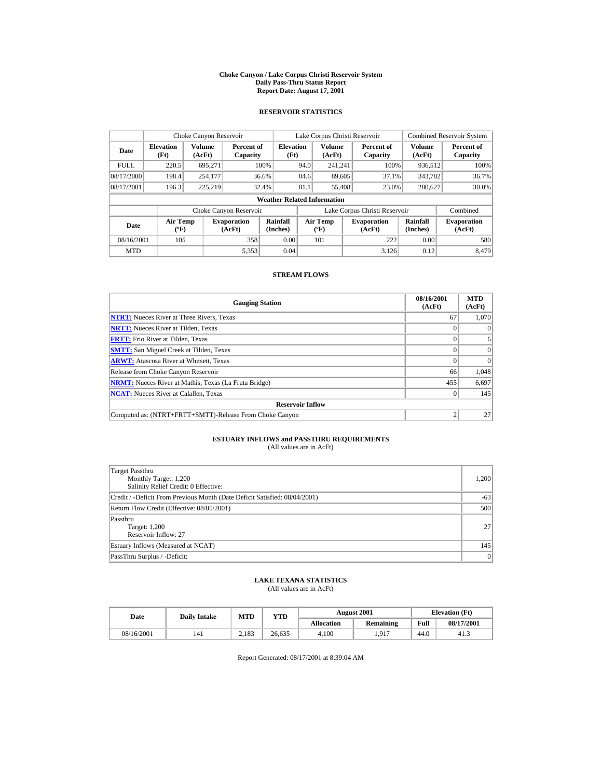#### **Choke Canyon / Lake Corpus Christi Reservoir System Daily Pass-Thru Status Report Report Date: August 17, 2001**

## **RESERVOIR STATISTICS**

|             | Choke Canyon Reservoir                      |                  |                              |                          | Lake Corpus Christi Reservoir |                                          |  |                               |                      | <b>Combined Reservoir System</b> |  |  |
|-------------|---------------------------------------------|------------------|------------------------------|--------------------------|-------------------------------|------------------------------------------|--|-------------------------------|----------------------|----------------------------------|--|--|
| Date        | <b>Elevation</b><br>(Ft)                    | Volume<br>(AcFt) | Percent of<br>Capacity       | <b>Elevation</b><br>(Ft) |                               | <b>Volume</b><br>(AcFt)                  |  | Percent of<br>Capacity        | Volume<br>(AcFt)     | Percent of<br>Capacity           |  |  |
| <b>FULL</b> | 220.5                                       | 695.271          |                              | 100%                     | 94.0                          | 241.241                                  |  | 100%                          | 936.512              | 100%                             |  |  |
| 08/17/2000  | 198.4                                       | 254,177          |                              | 36.6%                    | 84.6                          | 89,605                                   |  | 37.1%                         | 343,782              | 36.7%                            |  |  |
| 08/17/2001  | 196.3                                       | 225.219          |                              | 32.4%                    | 81.1                          | 55,408                                   |  | 23.0%                         | 280,627              | 30.0%                            |  |  |
|             | <b>Weather Related Information</b>          |                  |                              |                          |                               |                                          |  |                               |                      |                                  |  |  |
|             |                                             |                  | Choke Canyon Reservoir       |                          |                               |                                          |  | Lake Corpus Christi Reservoir |                      | Combined                         |  |  |
| Date        | <b>Air Temp</b><br>$({}^{\circ}\mathrm{F})$ |                  | <b>Evaporation</b><br>(AcFt) | Rainfall<br>(Inches)     |                               | <b>Air Temp</b><br>$({}^{\circ}{\rm F})$ |  | <b>Evaporation</b><br>(AcFt)  | Rainfall<br>(Inches) | <b>Evaporation</b><br>(AcFt)     |  |  |
| 08/16/2001  | 105                                         |                  | 358                          | 0.00                     |                               | 101                                      |  | 222                           | 0.00                 | 580                              |  |  |
| <b>MTD</b>  |                                             |                  | 5.353                        | 0.04                     |                               |                                          |  | 3.126                         | 0.12                 | 8.479                            |  |  |

## **STREAM FLOWS**

| <b>Gauging Station</b>                                       | 08/16/2001<br>(AcFt) | <b>MTD</b><br>(AcFt) |
|--------------------------------------------------------------|----------------------|----------------------|
| <b>NTRT:</b> Nueces River at Three Rivers, Texas             | 67                   | 1,070                |
| <b>NRTT:</b> Nueces River at Tilden, Texas                   |                      | $\theta$             |
| <b>FRTT:</b> Frio River at Tilden, Texas                     |                      | 6                    |
| <b>SMTT:</b> San Miguel Creek at Tilden, Texas               |                      | $\Omega$             |
| <b>ARWT:</b> Atascosa River at Whitsett, Texas               |                      | $\Omega$             |
| Release from Choke Canyon Reservoir                          | 66                   | 1,048                |
| <b>NRMT:</b> Nueces River at Mathis, Texas (La Fruta Bridge) | 455                  | 6,697                |
| <b>NCAT:</b> Nueces River at Calallen, Texas                 |                      | 145                  |
| <b>Reservoir Inflow</b>                                      |                      |                      |
| Computed as: (NTRT+FRTT+SMTT)-Release From Choke Canyon      |                      | 27                   |

# **ESTUARY INFLOWS and PASSTHRU REQUIREMENTS**<br>(All values are in AcFt)

| Target Passthru<br>Monthly Target: 1,200<br>Salinity Relief Credit: 0 Effective: | 1,200 |
|----------------------------------------------------------------------------------|-------|
| Credit / -Deficit From Previous Month (Date Deficit Satisfied: 08/04/2001)       | $-63$ |
| Return Flow Credit (Effective: 08/05/2001)                                       | 500   |
| Passthru<br>Target: 1,200<br>Reservoir Inflow: 27                                | 27    |
| Estuary Inflows (Measured at NCAT)                                               | 145   |
| PassThru Surplus / -Deficit:                                                     | 0     |

## **LAKE TEXANA STATISTICS**

(All values are in AcFt)

| Date       | <b>Daily Intake</b> | MTD   | YTD    |                   | <b>August 2001</b> |      | <b>Elevation</b> (Ft) |
|------------|---------------------|-------|--------|-------------------|--------------------|------|-----------------------|
|            |                     |       |        | <b>Allocation</b> | <b>Remaining</b>   | Full | 08/17/2001            |
| 08/16/2001 |                     | 2.183 | 26.635 | 4.100             | 1.917              | 44.0 | 41.3                  |

Report Generated: 08/17/2001 at 8:39:04 AM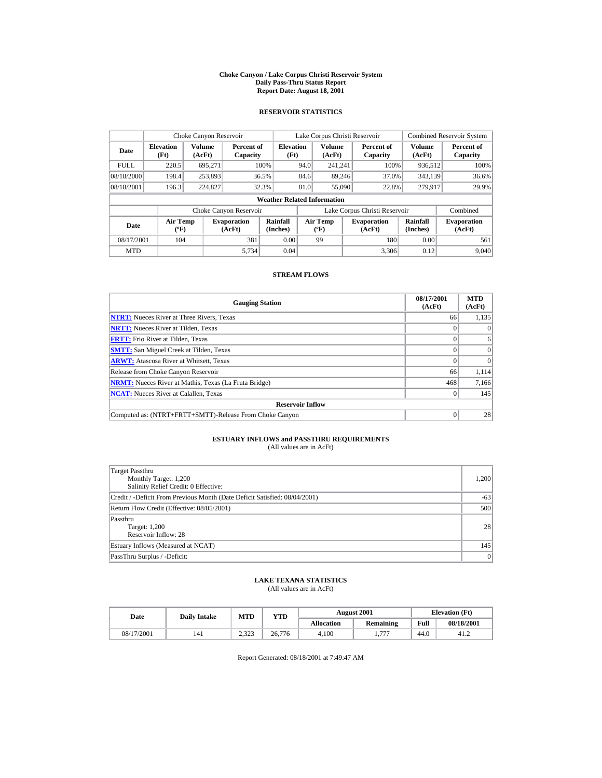#### **Choke Canyon / Lake Corpus Christi Reservoir System Daily Pass-Thru Status Report Report Date: August 18, 2001**

## **RESERVOIR STATISTICS**

|             | Choke Canyon Reservoir                      |                  |                              |                          | Lake Corpus Christi Reservoir |                                          |  |                               |                      | <b>Combined Reservoir System</b> |  |  |  |
|-------------|---------------------------------------------|------------------|------------------------------|--------------------------|-------------------------------|------------------------------------------|--|-------------------------------|----------------------|----------------------------------|--|--|--|
| Date        | <b>Elevation</b><br>(Ft)                    | Volume<br>(AcFt) | Percent of<br>Capacity       | <b>Elevation</b><br>(Ft) |                               | <b>Volume</b><br>(AcFt)                  |  | Percent of<br>Capacity        | Volume<br>(AcFt)     | Percent of<br>Capacity           |  |  |  |
| <b>FULL</b> | 220.5                                       | 695.271          |                              | 100%                     | 94.0                          | 241.241                                  |  | 100%                          | 936,512              | 100%                             |  |  |  |
| 08/18/2000  | 198.4                                       | 253,893          |                              | 36.5%                    | 84.6                          | 89.246                                   |  | 37.0%                         | 343,139              | 36.6%                            |  |  |  |
| 08/18/2001  | 196.3                                       | 224,827          |                              | 32.3%                    | 81.0                          | 55,090                                   |  | 22.8%                         | 279,917              | 29.9%                            |  |  |  |
|             | <b>Weather Related Information</b>          |                  |                              |                          |                               |                                          |  |                               |                      |                                  |  |  |  |
|             |                                             |                  | Choke Canyon Reservoir       |                          |                               |                                          |  | Lake Corpus Christi Reservoir |                      | Combined                         |  |  |  |
| Date        | <b>Air Temp</b><br>$({}^{\circ}\mathrm{F})$ |                  | <b>Evaporation</b><br>(AcFt) | Rainfall<br>(Inches)     |                               | <b>Air Temp</b><br>$({}^{\circ}{\rm F})$ |  | <b>Evaporation</b><br>(AcFt)  | Rainfall<br>(Inches) | <b>Evaporation</b><br>(AcFt)     |  |  |  |
| 08/17/2001  | 104                                         |                  | 381                          | 0.00                     |                               | 99                                       |  | 180                           | 0.00                 | 561                              |  |  |  |
| <b>MTD</b>  |                                             |                  | 5.734                        | 0.04                     |                               |                                          |  | 3.306                         | 0.12                 | 9.040                            |  |  |  |

## **STREAM FLOWS**

| <b>Gauging Station</b>                                       | 08/17/2001<br>(AcFt) | <b>MTD</b><br>(AcFt) |
|--------------------------------------------------------------|----------------------|----------------------|
| <b>NTRT:</b> Nueces River at Three Rivers, Texas             | 66                   | 1,135                |
| <b>NRTT:</b> Nueces River at Tilden, Texas                   |                      | $\theta$             |
| <b>FRTT:</b> Frio River at Tilden, Texas                     |                      | 6                    |
| <b>SMTT:</b> San Miguel Creek at Tilden, Texas               |                      | $\Omega$             |
| <b>ARWT:</b> Atascosa River at Whitsett, Texas               |                      | $\Omega$             |
| Release from Choke Canyon Reservoir                          | 66                   | 1,114                |
| <b>NRMT:</b> Nueces River at Mathis, Texas (La Fruta Bridge) | 468                  | 7,166                |
| <b>NCAT:</b> Nueces River at Calallen, Texas                 |                      | 145                  |
| <b>Reservoir Inflow</b>                                      |                      |                      |
| Computed as: (NTRT+FRTT+SMTT)-Release From Choke Canyon      |                      | 28                   |

# **ESTUARY INFLOWS and PASSTHRU REQUIREMENTS**<br>(All values are in AcFt)

| Target Passthru<br>Monthly Target: 1,200<br>Salinity Relief Credit: 0 Effective: | 1,200 |
|----------------------------------------------------------------------------------|-------|
| Credit / -Deficit From Previous Month (Date Deficit Satisfied: 08/04/2001)       | $-63$ |
| Return Flow Credit (Effective: 08/05/2001)                                       | 500   |
| Passthru<br>Target: 1,200<br>Reservoir Inflow: 28                                | 28    |
| Estuary Inflows (Measured at NCAT)                                               | 145   |
| PassThru Surplus / -Deficit:                                                     | 0     |

## **LAKE TEXANA STATISTICS**

(All values are in AcFt)

| Date       | <b>Daily Intake</b> | <b>MTD</b>     | YTD    |                   | <b>August 2001</b> | <b>Elevation</b> (Ft) |            |
|------------|---------------------|----------------|--------|-------------------|--------------------|-----------------------|------------|
|            |                     |                |        | <b>Allocation</b> | <b>Remaining</b>   | Full                  | 08/18/2001 |
| 08/17/2001 | 141                 | n 202<br>رے دے | 26,776 | 4.100             | ---                | 44.0                  | 41.2       |

Report Generated: 08/18/2001 at 7:49:47 AM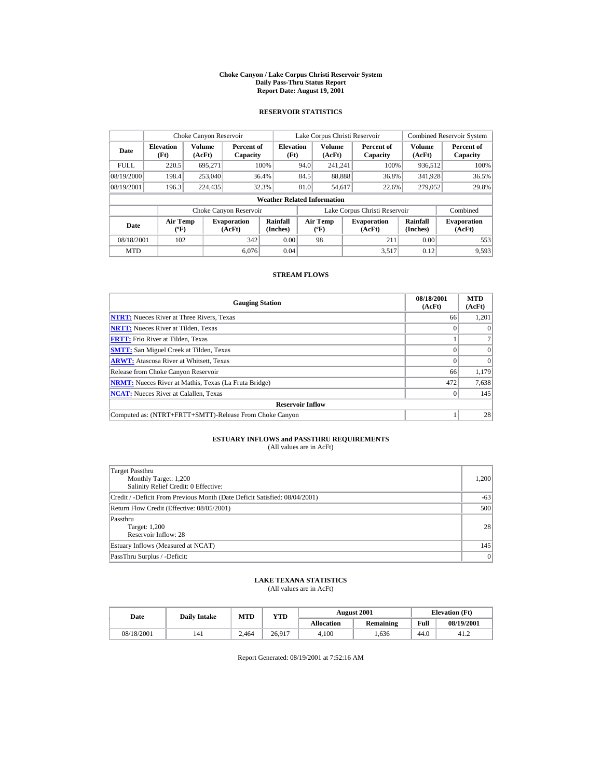#### **Choke Canyon / Lake Corpus Christi Reservoir System Daily Pass-Thru Status Report Report Date: August 19, 2001**

## **RESERVOIR STATISTICS**

|             | Choke Canyon Reservoir      |                         |                              |                                    |      | Lake Corpus Christi Reservoir     |                               |                         | <b>Combined Reservoir System</b> |
|-------------|-----------------------------|-------------------------|------------------------------|------------------------------------|------|-----------------------------------|-------------------------------|-------------------------|----------------------------------|
| Date        | <b>Elevation</b><br>(Ft)    | <b>Volume</b><br>(AcFt) | Percent of<br>Capacity       | <b>Elevation</b><br>(Ft)           |      | <b>Volume</b><br>(AcFt)           | Percent of<br>Capacity        | <b>Volume</b><br>(AcFt) | Percent of<br>Capacity           |
| <b>FULL</b> | 220.5                       | 695,271                 |                              | 100%                               | 94.0 | 241.241                           | 100%                          | 936,512                 | 100%                             |
| 08/19/2000  | 198.4                       | 253,040                 |                              | 36.4%                              | 84.5 | 88,888                            | 36.8%                         | 341,928                 | 36.5%                            |
| 08/19/2001  | 196.3                       | 224,435                 |                              | 32.3%                              | 81.0 | 54,617                            | 22.6%                         | 279,052                 | 29.8%                            |
|             |                             |                         |                              | <b>Weather Related Information</b> |      |                                   |                               |                         |                                  |
|             |                             |                         | Choke Canyon Reservoir       |                                    |      |                                   | Lake Corpus Christi Reservoir |                         | Combined                         |
| Date        | Air Temp<br>$({}^{\circ}F)$ |                         | <b>Evaporation</b><br>(AcFt) | Rainfall<br>(Inches)               |      | Air Temp<br>$({}^{\circ}{\rm F})$ | <b>Evaporation</b><br>(AcFt)  | Rainfall<br>(Inches)    | <b>Evaporation</b><br>(AcFt)     |
| 08/18/2001  | 102                         |                         | 342                          | 0.00                               |      | 98                                | 211                           | 0.00                    | 553                              |
| <b>MTD</b>  |                             |                         | 6.076                        | 0.04                               |      |                                   | 3,517                         | 0.12                    | 9,593                            |

## **STREAM FLOWS**

| <b>Gauging Station</b>                                       | 08/18/2001<br>(AcFt) | <b>MTD</b><br>(AcFt) |
|--------------------------------------------------------------|----------------------|----------------------|
| <b>NTRT:</b> Nueces River at Three Rivers, Texas             | 66                   | 1,201                |
| <b>NRTT:</b> Nueces River at Tilden, Texas                   |                      | $\theta$             |
| <b>FRTT:</b> Frio River at Tilden, Texas                     |                      |                      |
| <b>SMTT:</b> San Miguel Creek at Tilden, Texas               |                      | $\Omega$             |
| <b>ARWT:</b> Atascosa River at Whitsett, Texas               |                      | $\Omega$             |
| Release from Choke Canyon Reservoir                          | 66                   | 1,179                |
| <b>NRMT:</b> Nueces River at Mathis, Texas (La Fruta Bridge) | 472                  | 7,638                |
| <b>NCAT:</b> Nueces River at Calallen, Texas                 |                      | 145                  |
| <b>Reservoir Inflow</b>                                      |                      |                      |
| Computed as: (NTRT+FRTT+SMTT)-Release From Choke Canyon      |                      | 28                   |

# **ESTUARY INFLOWS and PASSTHRU REQUIREMENTS**<br>(All values are in AcFt)

| Target Passthru<br>Monthly Target: 1,200<br>Salinity Relief Credit: 0 Effective: | 1,200 |
|----------------------------------------------------------------------------------|-------|
| Credit / -Deficit From Previous Month (Date Deficit Satisfied: 08/04/2001)       | $-63$ |
| Return Flow Credit (Effective: 08/05/2001)                                       | 500   |
| Passthru<br>Target: 1,200<br>Reservoir Inflow: 28                                | 28    |
| Estuary Inflows (Measured at NCAT)                                               | 145   |
| PassThru Surplus / -Deficit:                                                     | 0     |

## **LAKE TEXANA STATISTICS**

(All values are in AcFt)

| Date       | <b>Daily Intake</b> |       | <b>August 2001</b><br>MTD<br>YTD |                   |                  |      | <b>Elevation</b> (Ft) |
|------------|---------------------|-------|----------------------------------|-------------------|------------------|------|-----------------------|
|            |                     |       |                                  | <b>Allocation</b> | <b>Remaining</b> | Full | 08/19/2001            |
| 08/18/2001 | 141                 | 2.464 | 26.917                           | 4.100             | .636             | 44.0 | 41.2                  |

Report Generated: 08/19/2001 at 7:52:16 AM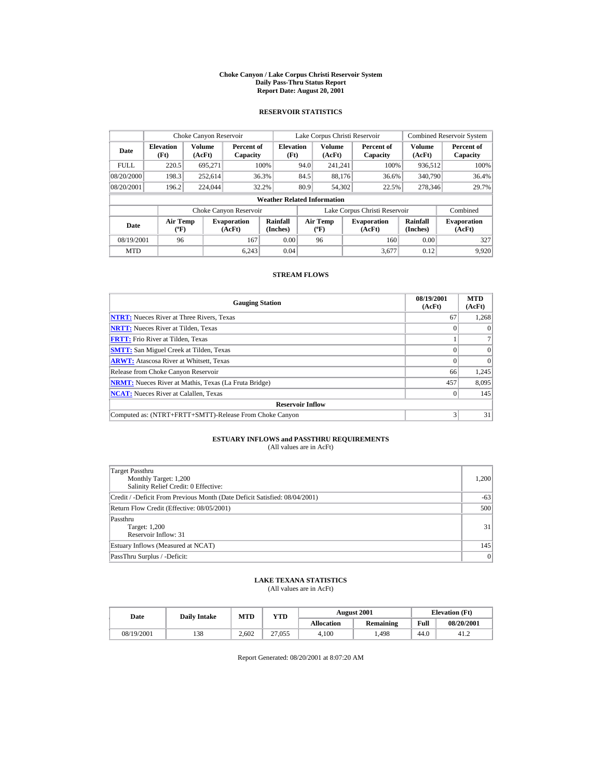#### **Choke Canyon / Lake Corpus Christi Reservoir System Daily Pass-Thru Status Report Report Date: August 20, 2001**

## **RESERVOIR STATISTICS**

|             | Choke Canyon Reservoir                      |                         |                              |                                    |      | Lake Corpus Christi Reservoir     |                               |                         | <b>Combined Reservoir System</b> |
|-------------|---------------------------------------------|-------------------------|------------------------------|------------------------------------|------|-----------------------------------|-------------------------------|-------------------------|----------------------------------|
| Date        | <b>Elevation</b><br>(Ft)                    | <b>Volume</b><br>(AcFt) | Percent of<br>Capacity       | <b>Elevation</b><br>(Ft)           |      | <b>Volume</b><br>(AcFt)           | Percent of<br>Capacity        | <b>Volume</b><br>(AcFt) | Percent of<br>Capacity           |
| <b>FULL</b> | 220.5                                       | 695,271                 |                              | 100%                               | 94.0 | 241.241                           | 100%                          | 936,512                 | 100%                             |
| 08/20/2000  | 198.3                                       | 252.614                 |                              | 36.3%                              | 84.5 | 88.176                            | 36.6%                         | 340,790                 | 36.4%                            |
| 08/20/2001  | 196.2                                       | 224,044                 |                              | 32.2%                              | 80.9 | 54,302                            | 22.5%                         | 278,346                 | 29.7%                            |
|             |                                             |                         |                              | <b>Weather Related Information</b> |      |                                   |                               |                         |                                  |
|             |                                             |                         | Choke Canyon Reservoir       |                                    |      |                                   | Lake Corpus Christi Reservoir |                         | Combined                         |
| Date        | <b>Air Temp</b><br>$({}^{\circ}\mathrm{F})$ |                         | <b>Evaporation</b><br>(AcFt) | Rainfall<br>(Inches)               |      | Air Temp<br>$({}^{\circ}{\rm F})$ | <b>Evaporation</b><br>(AcFt)  | Rainfall<br>(Inches)    | <b>Evaporation</b><br>(AcFt)     |
| 08/19/2001  | 96                                          |                         | 167                          | 0.00                               |      | 96                                | 160                           | 0.00                    | 327                              |
| <b>MTD</b>  |                                             |                         | 6.243                        | 0.04                               |      |                                   | 3.677                         | 0.12                    | 9.920                            |

## **STREAM FLOWS**

| <b>Gauging Station</b>                                       | 08/19/2001<br>(AcFt) | <b>MTD</b><br>(AcFt) |
|--------------------------------------------------------------|----------------------|----------------------|
| <b>NTRT:</b> Nueces River at Three Rivers, Texas             | 67                   | 1,268                |
| <b>NRTT:</b> Nueces River at Tilden, Texas                   |                      | $\theta$             |
| <b>FRTT:</b> Frio River at Tilden, Texas                     |                      |                      |
| <b>SMTT:</b> San Miguel Creek at Tilden, Texas               |                      | $\Omega$             |
| <b>ARWT:</b> Atascosa River at Whitsett, Texas               |                      | $\Omega$             |
| Release from Choke Canyon Reservoir                          | 66                   | 1,245                |
| <b>NRMT:</b> Nueces River at Mathis, Texas (La Fruta Bridge) | 457                  | 8,095                |
| <b>NCAT:</b> Nueces River at Calallen, Texas                 |                      | 145                  |
| <b>Reservoir Inflow</b>                                      |                      |                      |
| Computed as: (NTRT+FRTT+SMTT)-Release From Choke Canyon      |                      | 31                   |

# **ESTUARY INFLOWS and PASSTHRU REQUIREMENTS**<br>(All values are in AcFt)

| Target Passthru<br>Monthly Target: 1,200<br>Salinity Relief Credit: 0 Effective: | 1,200 |
|----------------------------------------------------------------------------------|-------|
| Credit / -Deficit From Previous Month (Date Deficit Satisfied: 08/04/2001)       | $-63$ |
| Return Flow Credit (Effective: 08/05/2001)                                       | 500   |
| Passthru<br>Target: 1,200<br>Reservoir Inflow: 31                                | 31    |
| Estuary Inflows (Measured at NCAT)                                               | 145   |
| PassThru Surplus / -Deficit:                                                     | 0     |

## **LAKE TEXANA STATISTICS**

(All values are in AcFt)

| Date       | <b>Daily Intake</b> | MTD   | YTD    |                   | <b>August 2001</b> |      | <b>Elevation</b> (Ft) |
|------------|---------------------|-------|--------|-------------------|--------------------|------|-----------------------|
|            |                     |       |        | <b>Allocation</b> | <b>Remaining</b>   | Full | 08/20/2001            |
| 08/19/2001 | 138                 | 2.602 | 27.055 | 4.100             | .498               | 44.0 | 41.2                  |

Report Generated: 08/20/2001 at 8:07:20 AM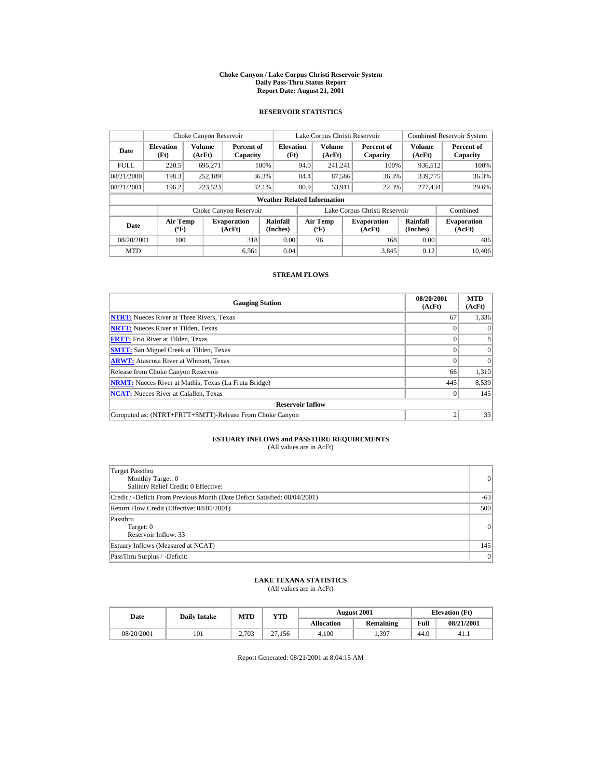#### **Choke Canyon / Lake Corpus Christi Reservoir System Daily Pass-Thru Status Report Report Date: August 21, 2001**

## **RESERVOIR STATISTICS**

| Choke Canyon Reservoir |                                             |                  |                              |                                    |      | Lake Corpus Christi Reservoir            |                               |                      | <b>Combined Reservoir System</b> |
|------------------------|---------------------------------------------|------------------|------------------------------|------------------------------------|------|------------------------------------------|-------------------------------|----------------------|----------------------------------|
| Date                   | <b>Elevation</b><br>(Ft)                    | Volume<br>(AcFt) | Percent of<br>Capacity       | <b>Elevation</b><br>(Ft)           |      | <b>Volume</b><br>(AcFt)                  | Percent of<br>Capacity        | Volume<br>(AcFt)     | Percent of<br>Capacity           |
| <b>FULL</b>            | 220.5                                       | 695.271          |                              | 100%                               | 94.0 | 241.241                                  | 100%                          | 936.512              | 100%                             |
| 08/21/2000             | 198.3                                       | 252.189          |                              | 36.3%                              | 84.4 | 87,586                                   | 36.3%                         | 339,775              | 36.3%                            |
| 08/21/2001             | 196.2                                       | 223,523          |                              | 32.1%                              | 80.9 | 53,911                                   | 22.3%                         | 277,434              | 29.6%                            |
|                        |                                             |                  |                              | <b>Weather Related Information</b> |      |                                          |                               |                      |                                  |
|                        |                                             |                  | Choke Canyon Reservoir       |                                    |      |                                          | Lake Corpus Christi Reservoir |                      | Combined                         |
| Date                   | <b>Air Temp</b><br>$({}^{\circ}\mathrm{F})$ |                  | <b>Evaporation</b><br>(AcFt) | Rainfall<br>(Inches)               |      | <b>Air Temp</b><br>$({}^{\circ}{\rm F})$ | <b>Evaporation</b><br>(AcFt)  | Rainfall<br>(Inches) | <b>Evaporation</b><br>(AcFt)     |
| 08/20/2001             | 100                                         |                  | 318                          | 0.00                               |      | 96                                       | 168                           | 0.00                 | 486                              |
| <b>MTD</b>             |                                             |                  | 6.561                        | 0.04                               |      |                                          | 3.845                         | 0.12                 | 10.406                           |

## **STREAM FLOWS**

| <b>Gauging Station</b>                                       | 08/20/2001<br>(AcFt) | <b>MTD</b><br>(AcFt) |
|--------------------------------------------------------------|----------------------|----------------------|
| <b>NTRT:</b> Nueces River at Three Rivers, Texas             | 67                   | 1,336                |
| <b>NRTT:</b> Nueces River at Tilden, Texas                   |                      | $\Omega$             |
| <b>FRTT:</b> Frio River at Tilden, Texas                     |                      | 8                    |
| <b>SMTT:</b> San Miguel Creek at Tilden, Texas               |                      | $\Omega$             |
| <b>ARWT:</b> Atascosa River at Whitsett, Texas               |                      | $\Omega$             |
| Release from Choke Canyon Reservoir                          | 66                   | 1,310                |
| <b>NRMT:</b> Nueces River at Mathis, Texas (La Fruta Bridge) | 445                  | 8,539                |
| <b>NCAT:</b> Nueces River at Calallen, Texas                 |                      | 145                  |
| <b>Reservoir Inflow</b>                                      |                      |                      |
| Computed as: (NTRT+FRTT+SMTT)-Release From Choke Canyon      |                      | 33                   |

# **ESTUARY INFLOWS and PASSTHRU REQUIREMENTS**<br>(All values are in AcFt)

| Target Passthru<br>Monthly Target: 0<br>Salinity Relief Credit: 0 Effective: | 0     |
|------------------------------------------------------------------------------|-------|
| Credit / -Deficit From Previous Month (Date Deficit Satisfied: 08/04/2001)   | $-63$ |
| Return Flow Credit (Effective: 08/05/2001)                                   | 500   |
| Passthru<br>Target: 0<br>Reservoir Inflow: 33                                | 0     |
| Estuary Inflows (Measured at NCAT)                                           | 145   |
| PassThru Surplus / -Deficit:                                                 | 0     |

## **LAKE TEXANA STATISTICS**

(All values are in AcFt)

| Date       | <b>Daily Intake</b> |       | <b>August 2001</b><br>MTD<br>YTD |                   |                  |      | <b>Elevation</b> (Ft) |
|------------|---------------------|-------|----------------------------------|-------------------|------------------|------|-----------------------|
|            |                     |       |                                  | <b>Allocation</b> | <b>Remaining</b> | Full | 08/21/2001            |
| 08/20/2001 | 101                 | 2.703 | 27.156                           | 4.100             | 1,397            | 44.0 | 41.1                  |

Report Generated: 08/21/2001 at 8:04:15 AM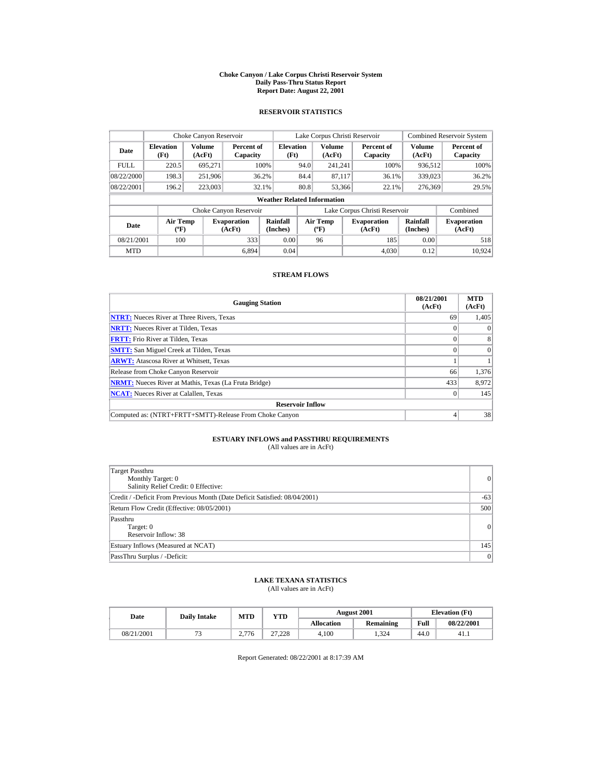#### **Choke Canyon / Lake Corpus Christi Reservoir System Daily Pass-Thru Status Report Report Date: August 22, 2001**

## **RESERVOIR STATISTICS**

| Choke Canyon Reservoir |                                                                                                                                                                                                         |                  |                        |                                    |      | Lake Corpus Christi Reservoir |                               |                  | <b>Combined Reservoir System</b> |
|------------------------|---------------------------------------------------------------------------------------------------------------------------------------------------------------------------------------------------------|------------------|------------------------|------------------------------------|------|-------------------------------|-------------------------------|------------------|----------------------------------|
| Date                   | <b>Elevation</b><br>(Ft)                                                                                                                                                                                | Volume<br>(AcFt) | Percent of<br>Capacity | <b>Elevation</b><br>(Ft)           |      | <b>Volume</b><br>(AcFt)       | Percent of<br>Capacity        | Volume<br>(AcFt) | Percent of<br>Capacity           |
| <b>FULL</b>            | 220.5                                                                                                                                                                                                   | 695.271          |                        | 100%                               | 94.0 | 241.241                       | 100%                          | 936.512          | 100%                             |
| 08/22/2000             | 198.3                                                                                                                                                                                                   | 251.906          |                        | 36.2%                              | 84.4 | 87.117                        | 36.1%                         | 339,023          | 36.2%                            |
| 08/22/2001             | 196.2                                                                                                                                                                                                   | 223,003          |                        | 32.1%                              | 80.8 | 53,366                        | 22.1%                         | 276,369          | 29.5%                            |
|                        |                                                                                                                                                                                                         |                  |                        | <b>Weather Related Information</b> |      |                               |                               |                  |                                  |
|                        |                                                                                                                                                                                                         |                  | Choke Canyon Reservoir |                                    |      |                               | Lake Corpus Christi Reservoir |                  | Combined                         |
| Date                   | Rainfall<br><b>Air Temp</b><br>Rainfall<br><b>Air Temp</b><br><b>Evaporation</b><br><b>Evaporation</b><br>(Inches)<br>(Inches)<br>$({}^{\circ}\mathrm{F})$<br>(AcFt)<br>(AcFt)<br>$({}^{\circ}{\rm F})$ |                  |                        | <b>Evaporation</b><br>(AcFt)       |      |                               |                               |                  |                                  |
| 08/21/2001             | 100                                                                                                                                                                                                     |                  | 333                    | 0.00                               |      | 96                            | 185                           | 0.00             | 518                              |
| <b>MTD</b>             |                                                                                                                                                                                                         |                  | 6.894                  | 0.04                               |      |                               | 4.030                         | 0.12             | 10.924                           |

## **STREAM FLOWS**

| <b>Gauging Station</b>                                       | 08/21/2001<br>(AcFt) | <b>MTD</b><br>(AcFt) |
|--------------------------------------------------------------|----------------------|----------------------|
| <b>NTRT:</b> Nueces River at Three Rivers, Texas             | 69                   | 1,405                |
| <b>NRTT:</b> Nueces River at Tilden, Texas                   |                      | $\theta$             |
| <b>FRTT:</b> Frio River at Tilden, Texas                     |                      | 8                    |
| <b>SMTT:</b> San Miguel Creek at Tilden, Texas               |                      | $\Omega$             |
| <b>ARWT:</b> Atascosa River at Whitsett, Texas               |                      |                      |
| Release from Choke Canyon Reservoir                          | 66                   | 1,376                |
| <b>NRMT:</b> Nueces River at Mathis, Texas (La Fruta Bridge) | 433                  | 8,972                |
| <b>NCAT:</b> Nueces River at Calallen, Texas                 |                      | 145                  |
| <b>Reservoir Inflow</b>                                      |                      |                      |
| Computed as: (NTRT+FRTT+SMTT)-Release From Choke Canyon      |                      | 38                   |

# **ESTUARY INFLOWS and PASSTHRU REQUIREMENTS**<br>(All values are in AcFt)

| Target Passthru<br>Monthly Target: 0<br>Salinity Relief Credit: 0 Effective: | 0     |
|------------------------------------------------------------------------------|-------|
| Credit / -Deficit From Previous Month (Date Deficit Satisfied: 08/04/2001)   | $-63$ |
| Return Flow Credit (Effective: 08/05/2001)                                   | 500   |
| Passthru<br>Target: 0<br>Reservoir Inflow: 38                                | 0     |
| Estuary Inflows (Measured at NCAT)                                           | 145   |
| PassThru Surplus / -Deficit:                                                 | 0     |

## **LAKE TEXANA STATISTICS**

(All values are in AcFt)

| Date       | <b>Daily Intake</b> | <b>MTD</b><br>YTD |        |                   | <b>August 2001</b> | <b>Elevation</b> (Ft) |            |
|------------|---------------------|-------------------|--------|-------------------|--------------------|-----------------------|------------|
|            |                     |                   |        | <b>Allocation</b> | <b>Remaining</b>   | Full                  | 08/22/2001 |
| 08/21/2001 |                     | 2.776             | 27.228 | 4.100             | .324               | 44.0                  | 41.1       |

Report Generated: 08/22/2001 at 8:17:39 AM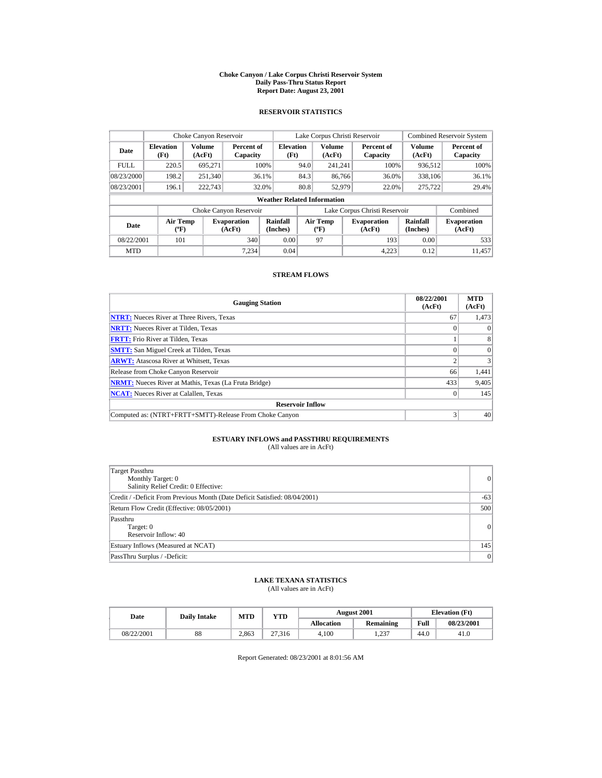#### **Choke Canyon / Lake Corpus Christi Reservoir System Daily Pass-Thru Status Report Report Date: August 23, 2001**

## **RESERVOIR STATISTICS**

|             | Choke Canyon Reservoir             |                         |                              |                                    |      | Lake Corpus Christi Reservoir     |                               |                         | <b>Combined Reservoir System</b> |
|-------------|------------------------------------|-------------------------|------------------------------|------------------------------------|------|-----------------------------------|-------------------------------|-------------------------|----------------------------------|
| Date        | <b>Elevation</b><br>(Ft)           | <b>Volume</b><br>(AcFt) | Percent of<br>Capacity       | <b>Elevation</b><br>(Ft)           |      | <b>Volume</b><br>(AcFt)           | Percent of<br>Capacity        | <b>Volume</b><br>(AcFt) | Percent of<br>Capacity           |
| <b>FULL</b> | 220.5                              | 695,271                 |                              | 100%                               | 94.0 | 241.241                           | 100%                          | 936,512                 | 100%                             |
| 08/23/2000  | 198.2                              | 251,340                 |                              | 36.1%                              | 84.3 | 86,766                            | 36.0%                         | 338,106                 | 36.1%                            |
| 08/23/2001  | 196.1                              | 222,743                 |                              | 32.0%                              | 80.8 | 52,979                            | 22.0%                         | 275,722                 | 29.4%                            |
|             |                                    |                         |                              | <b>Weather Related Information</b> |      |                                   |                               |                         |                                  |
|             |                                    |                         | Choke Canyon Reservoir       |                                    |      |                                   | Lake Corpus Christi Reservoir |                         | Combined                         |
| Date        | <b>Air Temp</b><br>$({}^{\circ}F)$ |                         | <b>Evaporation</b><br>(AcFt) | Rainfall<br>(Inches)               |      | Air Temp<br>$({}^{\circ}{\rm F})$ | <b>Evaporation</b><br>(AcFt)  | Rainfall<br>(Inches)    | <b>Evaporation</b><br>(AcFt)     |
| 08/22/2001  | 101                                |                         | 340                          | 0.00                               |      | 97                                | 193                           | 0.00                    | 533                              |
| <b>MTD</b>  |                                    |                         | 7.234                        | 0.04                               |      |                                   | 4,223                         | 0.12                    | 11.457                           |

## **STREAM FLOWS**

| <b>Gauging Station</b>                                       | 08/22/2001<br>(AcFt) | <b>MTD</b><br>(AcFt) |
|--------------------------------------------------------------|----------------------|----------------------|
| <b>NTRT:</b> Nueces River at Three Rivers, Texas             | 67                   | 1,473                |
| <b>NRTT:</b> Nueces River at Tilden, Texas                   |                      | $\Omega$             |
| <b>FRTT:</b> Frio River at Tilden, Texas                     |                      | 8                    |
| <b>SMTT:</b> San Miguel Creek at Tilden, Texas               |                      | $\Omega$             |
| <b>ARWT:</b> Atascosa River at Whitsett, Texas               |                      | 3                    |
| Release from Choke Canyon Reservoir                          | 66                   | 1,441                |
| <b>NRMT:</b> Nueces River at Mathis, Texas (La Fruta Bridge) | 433                  | 9,405                |
| <b>NCAT:</b> Nueces River at Calallen, Texas                 |                      | 145                  |
| <b>Reservoir Inflow</b>                                      |                      |                      |
| Computed as: (NTRT+FRTT+SMTT)-Release From Choke Canyon      |                      | 40                   |

# **ESTUARY INFLOWS and PASSTHRU REQUIREMENTS**<br>(All values are in AcFt)

| Target Passthru<br>Monthly Target: 0<br>Salinity Relief Credit: 0 Effective: | 0     |
|------------------------------------------------------------------------------|-------|
| Credit / -Deficit From Previous Month (Date Deficit Satisfied: 08/04/2001)   | $-63$ |
| Return Flow Credit (Effective: 08/05/2001)                                   | 500   |
| Passthru<br>Target: 0<br>Reservoir Inflow: 40                                | 0     |
| Estuary Inflows (Measured at NCAT)                                           | 145   |
| PassThru Surplus / -Deficit:                                                 | 0     |

## **LAKE TEXANA STATISTICS**

(All values are in AcFt)

| Date       | <b>MTD</b><br><b>Daily Intake</b> |       | YTD    |                   | <b>August 2001</b> | <b>Elevation</b> (Ft) |            |
|------------|-----------------------------------|-------|--------|-------------------|--------------------|-----------------------|------------|
|            |                                   |       |        | <b>Allocation</b> | <b>Remaining</b>   | Full                  | 08/23/2001 |
| 08/22/2001 | 88                                | 2.863 | 27.316 | 4.100             | . 237              | 44.0                  | 41.0       |

Report Generated: 08/23/2001 at 8:01:56 AM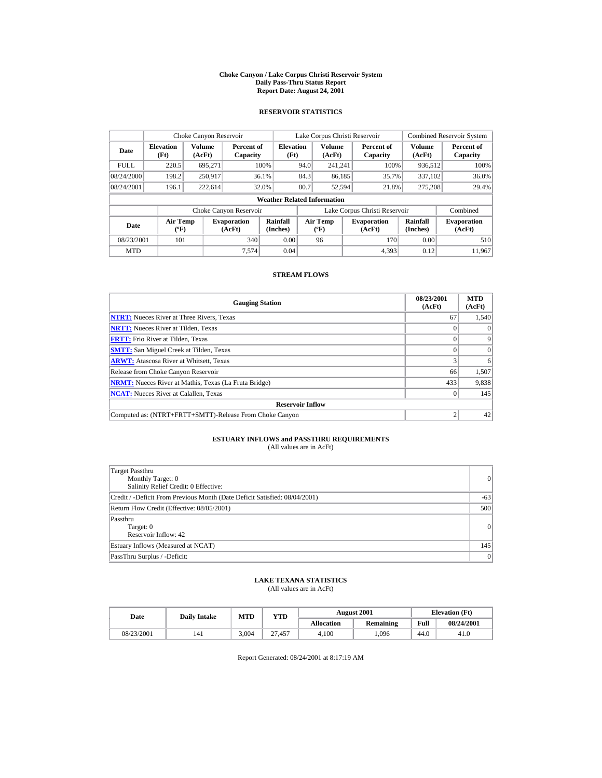#### **Choke Canyon / Lake Corpus Christi Reservoir System Daily Pass-Thru Status Report Report Date: August 24, 2001**

## **RESERVOIR STATISTICS**

|             | Choke Canyon Reservoir                      |                  |                              |                                    |      | Lake Corpus Christi Reservoir            |                               |                         | <b>Combined Reservoir System</b> |
|-------------|---------------------------------------------|------------------|------------------------------|------------------------------------|------|------------------------------------------|-------------------------------|-------------------------|----------------------------------|
| Date        | <b>Elevation</b><br>(Ft)                    | Volume<br>(AcFt) | Percent of<br>Capacity       | <b>Elevation</b><br>(Ft)           |      | <b>Volume</b><br>(AcFt)                  | Percent of<br>Capacity        | <b>Volume</b><br>(AcFt) | Percent of<br>Capacity           |
| <b>FULL</b> | 220.5                                       | 695.271          |                              | 100%                               | 94.0 | 241.241                                  | 100%                          | 936,512                 | 100%                             |
| 08/24/2000  | 198.2                                       | 250.917          |                              | 36.1%                              | 84.3 | 86,185                                   | 35.7%                         | 337.102                 | 36.0%                            |
| 08/24/2001  | 196.1                                       | 222.614          |                              | 32.0%                              | 80.7 | 52,594                                   | 21.8%                         | 275,208                 | 29.4%                            |
|             |                                             |                  |                              | <b>Weather Related Information</b> |      |                                          |                               |                         |                                  |
|             |                                             |                  | Choke Canyon Reservoir       |                                    |      |                                          | Lake Corpus Christi Reservoir |                         | Combined                         |
| Date        | <b>Air Temp</b><br>$({}^{\circ}\mathrm{F})$ |                  | <b>Evaporation</b><br>(AcFt) | Rainfall<br>(Inches)               |      | <b>Air Temp</b><br>$({}^{\circ}{\rm F})$ | <b>Evaporation</b><br>(AcFt)  | Rainfall<br>(Inches)    | <b>Evaporation</b><br>(AcFt)     |
| 08/23/2001  | 101                                         |                  | 340                          | 0.00                               |      | 96                                       | 170                           | 0.00                    | 510                              |
| <b>MTD</b>  |                                             |                  | 7.574                        | 0.04                               |      |                                          | 4.393                         | 0.12                    | 11.967                           |

## **STREAM FLOWS**

| <b>Gauging Station</b>                                       | 08/23/2001<br>(AcFt) | <b>MTD</b><br>(AcFt) |
|--------------------------------------------------------------|----------------------|----------------------|
| <b>NTRT:</b> Nueces River at Three Rivers, Texas             | 67                   | 1,540                |
| <b>NRTT:</b> Nueces River at Tilden, Texas                   |                      | $\theta$             |
| <b>FRTT:</b> Frio River at Tilden, Texas                     |                      | 9                    |
| <b>SMTT:</b> San Miguel Creek at Tilden, Texas               |                      | $\Omega$             |
| <b>ARWT:</b> Atascosa River at Whitsett, Texas               |                      | 6                    |
| Release from Choke Canyon Reservoir                          | 66                   | 1,507                |
| <b>NRMT:</b> Nueces River at Mathis, Texas (La Fruta Bridge) | 433                  | 9,838                |
| <b>NCAT:</b> Nueces River at Calallen, Texas                 |                      | 145                  |
| <b>Reservoir Inflow</b>                                      |                      |                      |
| Computed as: (NTRT+FRTT+SMTT)-Release From Choke Canyon      |                      | 42                   |

# **ESTUARY INFLOWS and PASSTHRU REQUIREMENTS**<br>(All values are in AcFt)

| Target Passthru<br>Monthly Target: 0<br>Salinity Relief Credit: 0 Effective: | 0     |
|------------------------------------------------------------------------------|-------|
| Credit / -Deficit From Previous Month (Date Deficit Satisfied: 08/04/2001)   | $-63$ |
| Return Flow Credit (Effective: 08/05/2001)                                   | 500   |
| Passthru<br>Target: 0<br>Reservoir Inflow: 42                                | 0     |
| Estuary Inflows (Measured at NCAT)                                           | 145   |
| PassThru Surplus / -Deficit:                                                 | 0     |

## **LAKE TEXANA STATISTICS**

(All values are in AcFt)

|            | MTD<br><b>Daily Intake</b><br>Date |       | $_{\rm VTD}$ |                   | <b>August 2001</b> | <b>Elevation</b> (Ft) |            |
|------------|------------------------------------|-------|--------------|-------------------|--------------------|-----------------------|------------|
|            |                                    |       |              | <b>Allocation</b> | <b>Remaining</b>   | Full                  | 08/24/2001 |
| 08/23/2001 | 141                                | 3.004 | 27.457       | 4.100             | .096               | 44.0                  | 41.0       |

Report Generated: 08/24/2001 at 8:17:19 AM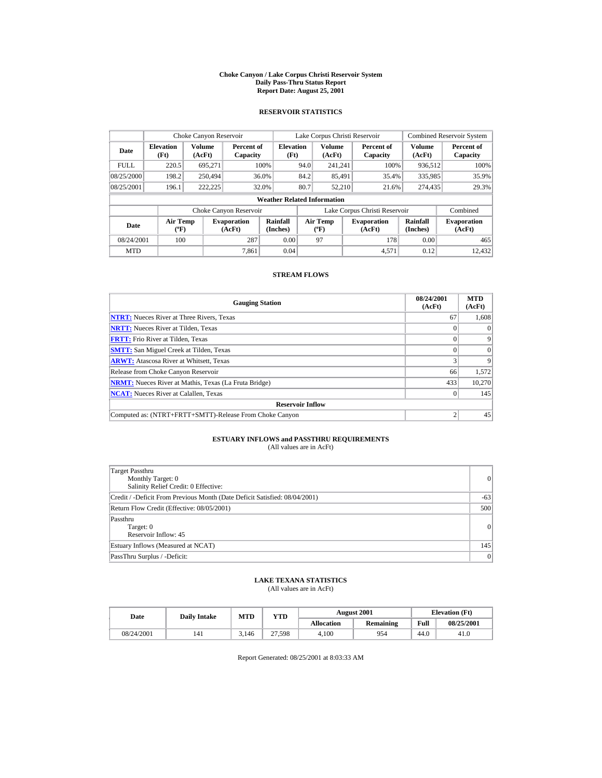#### **Choke Canyon / Lake Corpus Christi Reservoir System Daily Pass-Thru Status Report Report Date: August 25, 2001**

## **RESERVOIR STATISTICS**

| Choke Canyon Reservoir |                                             |                  |                              |                                    |      | Lake Corpus Christi Reservoir            |                               |                      | <b>Combined Reservoir System</b> |
|------------------------|---------------------------------------------|------------------|------------------------------|------------------------------------|------|------------------------------------------|-------------------------------|----------------------|----------------------------------|
| Date                   | <b>Elevation</b><br>(Ft)                    | Volume<br>(AcFt) | Percent of<br>Capacity       | <b>Elevation</b><br>(Ft)           |      | <b>Volume</b><br>(AcFt)                  | Percent of<br>Capacity        | Volume<br>(AcFt)     | Percent of<br>Capacity           |
| <b>FULL</b>            | 220.5                                       | 695.271          |                              | 100%                               | 94.0 | 241.241                                  | 100%                          | 936.512              | 100%                             |
| 08/25/2000             | 198.2                                       | 250,494          |                              | 36.0%                              | 84.2 | 85,491                                   | 35.4%                         | 335,985              | 35.9%                            |
| 08/25/2001             | 196.1                                       | 222.225          |                              | 32.0%                              | 80.7 | 52.210                                   | 21.6%                         | 274,435              | 29.3%                            |
|                        |                                             |                  |                              | <b>Weather Related Information</b> |      |                                          |                               |                      |                                  |
|                        |                                             |                  | Choke Canyon Reservoir       |                                    |      |                                          | Lake Corpus Christi Reservoir |                      | Combined                         |
| Date                   | <b>Air Temp</b><br>$({}^{\circ}\mathrm{F})$ |                  | <b>Evaporation</b><br>(AcFt) | Rainfall<br>(Inches)               |      | <b>Air Temp</b><br>$({}^{\circ}{\rm F})$ | <b>Evaporation</b><br>(AcFt)  | Rainfall<br>(Inches) | <b>Evaporation</b><br>(AcFt)     |
| 08/24/2001             | 100                                         |                  | 287                          | 0.00                               |      | 97                                       | 178                           | 0.00                 | 465                              |
| <b>MTD</b>             |                                             |                  | 7.861                        | 0.04                               |      |                                          | 4.571                         | 0.12                 | 12.432                           |

## **STREAM FLOWS**

| <b>Gauging Station</b>                                       | 08/24/2001<br>(AcFt) | <b>MTD</b><br>(AcFt) |
|--------------------------------------------------------------|----------------------|----------------------|
| <b>NTRT:</b> Nueces River at Three Rivers, Texas             | 67                   | 1,608                |
| <b>NRTT:</b> Nueces River at Tilden, Texas                   |                      | $\theta$             |
| <b>FRTT:</b> Frio River at Tilden, Texas                     |                      | 9                    |
| <b>SMTT:</b> San Miguel Creek at Tilden, Texas               |                      | $\Omega$             |
| <b>ARWT:</b> Atascosa River at Whitsett, Texas               |                      | 9                    |
| Release from Choke Canyon Reservoir                          | 66                   | 1,572                |
| <b>NRMT:</b> Nueces River at Mathis, Texas (La Fruta Bridge) | 433                  | 10,270               |
| <b>NCAT:</b> Nueces River at Calallen, Texas                 |                      | 145                  |
| <b>Reservoir Inflow</b>                                      |                      |                      |
| Computed as: (NTRT+FRTT+SMTT)-Release From Choke Canyon      |                      | 45                   |

# **ESTUARY INFLOWS and PASSTHRU REQUIREMENTS**<br>(All values are in AcFt)

| Target Passthru<br>Monthly Target: 0<br>Salinity Relief Credit: 0 Effective: | 0     |
|------------------------------------------------------------------------------|-------|
| Credit / -Deficit From Previous Month (Date Deficit Satisfied: 08/04/2001)   | $-63$ |
| Return Flow Credit (Effective: 08/05/2001)                                   | 500   |
| Passthru<br>Target: 0<br>Reservoir Inflow: 45                                | 0     |
| Estuary Inflows (Measured at NCAT)                                           | 145   |
| PassThru Surplus / -Deficit:                                                 | 0     |

## **LAKE TEXANA STATISTICS**

(All values are in AcFt)

| Date       | <b>Daily Intake</b> | <b>MTD</b> | YTD    |                   | <b>August 2001</b> |      | <b>Elevation</b> (Ft) |
|------------|---------------------|------------|--------|-------------------|--------------------|------|-----------------------|
|            |                     |            |        | <b>Allocation</b> | <b>Remaining</b>   | Full | 08/25/2001            |
| 08/24/2001 | 141                 | 3.146      | 27.598 | 4.100             | 954                | 44.0 | 41.0                  |

Report Generated: 08/25/2001 at 8:03:33 AM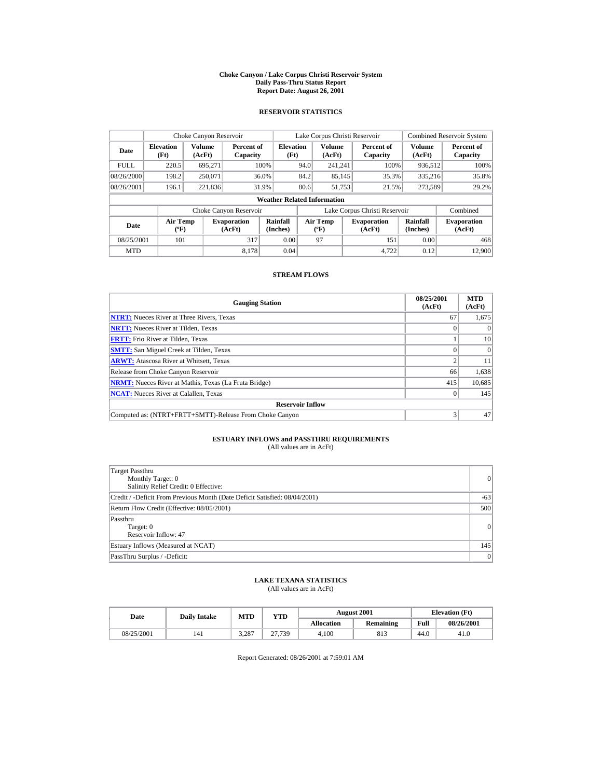#### **Choke Canyon / Lake Corpus Christi Reservoir System Daily Pass-Thru Status Report Report Date: August 26, 2001**

## **RESERVOIR STATISTICS**

|             | Choke Canyon Reservoir                                                                                                                                                                  |                         |                        |                                    |      | Lake Corpus Christi Reservoir |                               |                         | <b>Combined Reservoir System</b> |
|-------------|-----------------------------------------------------------------------------------------------------------------------------------------------------------------------------------------|-------------------------|------------------------|------------------------------------|------|-------------------------------|-------------------------------|-------------------------|----------------------------------|
| Date        | <b>Elevation</b><br>(Ft)                                                                                                                                                                | <b>Volume</b><br>(AcFt) | Percent of<br>Capacity | <b>Elevation</b><br>(Ft)           |      | <b>Volume</b><br>(AcFt)       | Percent of<br>Capacity        | <b>Volume</b><br>(AcFt) | Percent of<br>Capacity           |
| <b>FULL</b> | 220.5                                                                                                                                                                                   | 695,271                 |                        | 100%                               | 94.0 | 241.241                       | 100%                          | 936,512                 | 100%                             |
| 08/26/2000  | 198.2                                                                                                                                                                                   | 250,071                 |                        | 36.0%                              | 84.2 | 85,145                        | 35.3%                         | 335.216                 | 35.8%                            |
| 08/26/2001  | 196.1                                                                                                                                                                                   | 221,836                 |                        | 31.9%                              | 80.6 | 51,753                        | 21.5%                         | 273,589                 | 29.2%                            |
|             |                                                                                                                                                                                         |                         |                        | <b>Weather Related Information</b> |      |                               |                               |                         |                                  |
|             |                                                                                                                                                                                         |                         | Choke Canyon Reservoir |                                    |      |                               | Lake Corpus Christi Reservoir |                         | Combined                         |
| Date        | Rainfall<br>Air Temp<br>Rainfall<br><b>Air Temp</b><br><b>Evaporation</b><br><b>Evaporation</b><br>(Inches)<br>(Inches)<br>(AcFt)<br>$({}^{\circ}F)$<br>$({}^{\circ}{\rm F})$<br>(AcFt) |                         |                        | <b>Evaporation</b><br>(AcFt)       |      |                               |                               |                         |                                  |
| 08/25/2001  | 101                                                                                                                                                                                     |                         | 317                    | 0.00                               |      | 97                            | 151                           | 0.00                    | 468                              |
| <b>MTD</b>  |                                                                                                                                                                                         |                         | 8.178                  | 0.04                               |      |                               | 4.722                         | 0.12                    | 12.900                           |

## **STREAM FLOWS**

| <b>Gauging Station</b>                                       | 08/25/2001<br>(AcFt) | <b>MTD</b><br>(AcFt) |
|--------------------------------------------------------------|----------------------|----------------------|
| <b>NTRT:</b> Nueces River at Three Rivers, Texas             | 67                   | 1,675                |
| <b>NRTT:</b> Nueces River at Tilden, Texas                   |                      | $\theta$             |
| <b>FRTT:</b> Frio River at Tilden, Texas                     |                      | 10 <sup>1</sup>      |
| <b>SMTT:</b> San Miguel Creek at Tilden, Texas               |                      | $\Omega$             |
| <b>ARWT:</b> Atascosa River at Whitsett, Texas               |                      | 11                   |
| Release from Choke Canyon Reservoir                          | 66                   | 1,638                |
| <b>NRMT:</b> Nueces River at Mathis, Texas (La Fruta Bridge) | 415                  | 10,685               |
| <b>NCAT:</b> Nueces River at Calallen, Texas                 |                      | 145                  |
| <b>Reservoir Inflow</b>                                      |                      |                      |
| Computed as: (NTRT+FRTT+SMTT)-Release From Choke Canyon      | 3                    | 47                   |

# **ESTUARY INFLOWS and PASSTHRU REQUIREMENTS**<br>(All values are in AcFt)

| Target Passthru<br>Monthly Target: 0<br>Salinity Relief Credit: 0 Effective: | 0     |
|------------------------------------------------------------------------------|-------|
| Credit / -Deficit From Previous Month (Date Deficit Satisfied: 08/04/2001)   | $-63$ |
| Return Flow Credit (Effective: 08/05/2001)                                   | 500   |
| Passthru<br>Target: 0<br>Reservoir Inflow: 47                                | 0     |
| Estuary Inflows (Measured at NCAT)                                           | 145   |
| PassThru Surplus / -Deficit:                                                 | 0     |

## **LAKE TEXANA STATISTICS**

(All values are in AcFt)

| Date       | <b>Daily Intake</b> | <b>MTD</b> | <b>August 2001</b><br>YTD |                   |                  |      | <b>Elevation</b> (Ft) |
|------------|---------------------|------------|---------------------------|-------------------|------------------|------|-----------------------|
|            |                     |            |                           | <b>Allocation</b> | <b>Remaining</b> | Full | 08/26/2001            |
| 08/25/2001 | 141                 | 3.287      | 27.739                    | 4.100             | 813              | 44.0 | 41.0                  |

Report Generated: 08/26/2001 at 7:59:01 AM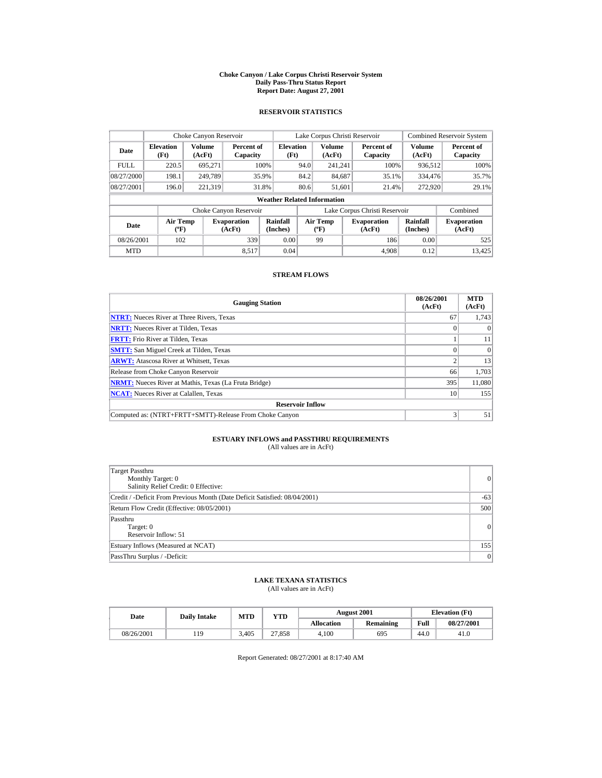#### **Choke Canyon / Lake Corpus Christi Reservoir System Daily Pass-Thru Status Report Report Date: August 27, 2001**

## **RESERVOIR STATISTICS**

| Choke Canyon Reservoir |                                             |                  |                              |                                    |      | Lake Corpus Christi Reservoir            |                               |                      | <b>Combined Reservoir System</b> |
|------------------------|---------------------------------------------|------------------|------------------------------|------------------------------------|------|------------------------------------------|-------------------------------|----------------------|----------------------------------|
| Date                   | <b>Elevation</b><br>(Ft)                    | Volume<br>(AcFt) | Percent of<br>Capacity       | <b>Elevation</b><br>(Ft)           |      | <b>Volume</b><br>(AcFt)                  | Percent of<br>Capacity        | Volume<br>(AcFt)     | Percent of<br>Capacity           |
| <b>FULL</b>            | 220.5                                       | 695.271          |                              | 100%                               | 94.0 | 241.241                                  | 100%                          | 936,512              | 100%                             |
| 08/27/2000             | 198.1                                       | 249,789          |                              | 35.9%                              | 84.2 | 84,687                                   | 35.1%                         | 334,476              | 35.7%                            |
| 08/27/2001             | 196.0                                       | 221.319          |                              | 31.8%                              | 80.6 | 51,601                                   | 21.4%                         | 272,920              | 29.1%                            |
|                        |                                             |                  |                              | <b>Weather Related Information</b> |      |                                          |                               |                      |                                  |
|                        |                                             |                  | Choke Canyon Reservoir       |                                    |      |                                          | Lake Corpus Christi Reservoir |                      | Combined                         |
| Date                   | <b>Air Temp</b><br>$({}^{\circ}\mathrm{F})$ |                  | <b>Evaporation</b><br>(AcFt) | Rainfall<br>(Inches)               |      | <b>Air Temp</b><br>$({}^{\circ}{\rm F})$ | <b>Evaporation</b><br>(AcFt)  | Rainfall<br>(Inches) | <b>Evaporation</b><br>(AcFt)     |
| 08/26/2001             | 102                                         |                  | 339                          | 0.00                               |      | 99                                       | 186                           | 0.00                 | 525                              |
| <b>MTD</b>             |                                             |                  | 8.517                        | 0.04                               |      |                                          | 4.908                         | 0.12                 | 13.425                           |

## **STREAM FLOWS**

| <b>Gauging Station</b>                                       | 08/26/2001<br>(AcFt) | <b>MTD</b><br>(AcFt) |
|--------------------------------------------------------------|----------------------|----------------------|
| <b>NTRT:</b> Nueces River at Three Rivers, Texas             | 67                   | 1,743                |
| <b>NRTT:</b> Nueces River at Tilden, Texas                   |                      | $\theta$             |
| <b>FRTT:</b> Frio River at Tilden, Texas                     |                      | 11                   |
| <b>SMTT:</b> San Miguel Creek at Tilden, Texas               |                      | $\Omega$             |
| <b>ARWT:</b> Atascosa River at Whitsett, Texas               |                      | 13                   |
| Release from Choke Canyon Reservoir                          | 66                   | 1,703                |
| <b>NRMT:</b> Nueces River at Mathis, Texas (La Fruta Bridge) | 395                  | 11,080               |
| <b>NCAT:</b> Nueces River at Calallen, Texas                 | 10                   | 155                  |
| <b>Reservoir Inflow</b>                                      |                      |                      |
| Computed as: (NTRT+FRTT+SMTT)-Release From Choke Canyon      | 3                    | 51                   |

# **ESTUARY INFLOWS and PASSTHRU REQUIREMENTS**<br>(All values are in AcFt)

| Target Passthru<br>Monthly Target: 0<br>Salinity Relief Credit: 0 Effective: | 0     |
|------------------------------------------------------------------------------|-------|
| Credit / -Deficit From Previous Month (Date Deficit Satisfied: 08/04/2001)   | $-63$ |
| Return Flow Credit (Effective: 08/05/2001)                                   | 500   |
| Passthru<br>Target: 0<br>Reservoir Inflow: 51                                | 0     |
| Estuary Inflows (Measured at NCAT)                                           | 155   |
| PassThru Surplus / -Deficit:                                                 | 0     |

## **LAKE TEXANA STATISTICS**

(All values are in AcFt)

| Date       | <b>Daily Intake</b> | <b>MTD</b> | YTD    |                   | <b>August 2001</b> |      | <b>Elevation</b> (Ft) |
|------------|---------------------|------------|--------|-------------------|--------------------|------|-----------------------|
|            |                     |            |        | <b>Allocation</b> | <b>Remaining</b>   | Full | 08/27/2001            |
| 08/26/2001 | 1 Q                 | 3.405      | 27.858 | 4.100             | 695                | 44.0 | 41.0                  |

Report Generated: 08/27/2001 at 8:17:40 AM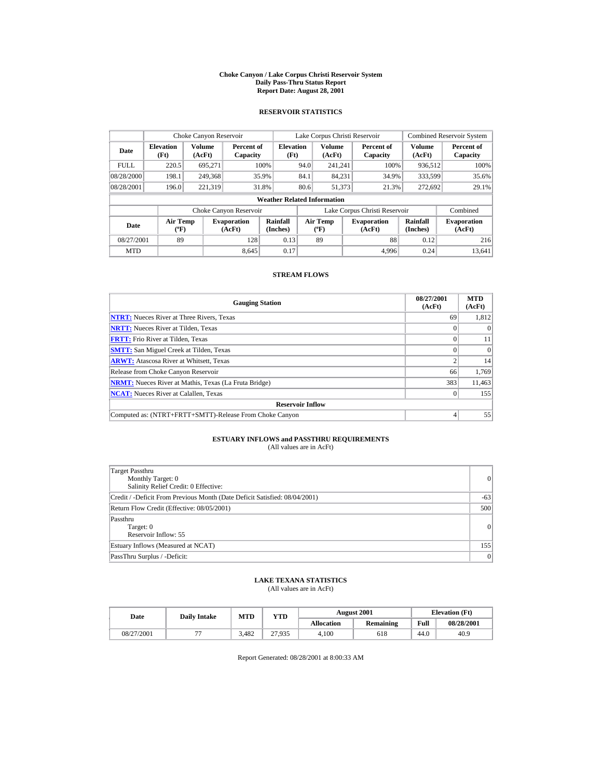#### **Choke Canyon / Lake Corpus Christi Reservoir System Daily Pass-Thru Status Report Report Date: August 28, 2001**

## **RESERVOIR STATISTICS**

|             | Choke Canyon Reservoir                      |                  |                              |                          | Lake Corpus Christi Reservoir |                                   |  |                               |                      | <b>Combined Reservoir System</b> |  |  |
|-------------|---------------------------------------------|------------------|------------------------------|--------------------------|-------------------------------|-----------------------------------|--|-------------------------------|----------------------|----------------------------------|--|--|
| Date        | <b>Elevation</b><br>(Ft)                    | Volume<br>(AcFt) | Percent of<br>Capacity       | <b>Elevation</b><br>(Ft) |                               | <b>Volume</b><br>(AcFt)           |  | Percent of<br>Capacity        | Volume<br>(AcFt)     | Percent of<br>Capacity           |  |  |
| <b>FULL</b> | 220.5                                       | 695.271          |                              | 100%                     | 94.0                          | 241.241                           |  | 100%                          | 936.512              | 100%                             |  |  |
| 08/28/2000  | 198.1                                       | 249,368          |                              | 35.9%                    | 84.1                          | 84.231                            |  | 34.9%                         | 333,599              | 35.6%                            |  |  |
| 08/28/2001  | 196.0                                       | 221.319          |                              | 31.8%                    | 80.6                          | 51,373                            |  | 21.3%                         | 272,692              | 29.1%                            |  |  |
|             | <b>Weather Related Information</b>          |                  |                              |                          |                               |                                   |  |                               |                      |                                  |  |  |
|             |                                             |                  | Choke Canyon Reservoir       |                          |                               |                                   |  | Lake Corpus Christi Reservoir |                      | Combined                         |  |  |
| Date        | <b>Air Temp</b><br>$({}^{\circ}\mathrm{F})$ |                  | <b>Evaporation</b><br>(AcFt) | Rainfall<br>(Inches)     |                               | Air Temp<br>$({}^{\circ}{\rm F})$ |  | <b>Evaporation</b><br>(AcFt)  | Rainfall<br>(Inches) | <b>Evaporation</b><br>(AcFt)     |  |  |
| 08/27/2001  | 89                                          |                  | 128                          | 0.13                     |                               | 89                                |  | 88                            | 0.12                 | 216                              |  |  |
| <b>MTD</b>  |                                             |                  | 8.645                        | 0.17                     |                               |                                   |  | 4.996                         | 0.24                 | 13.641                           |  |  |

## **STREAM FLOWS**

| <b>Gauging Station</b>                                       | 08/27/2001<br>(AcFt) | <b>MTD</b><br>(AcFt) |
|--------------------------------------------------------------|----------------------|----------------------|
| <b>NTRT:</b> Nueces River at Three Rivers, Texas             | 69                   | 1,812                |
| <b>NRTT:</b> Nueces River at Tilden, Texas                   |                      | $\theta$             |
| <b>FRTT:</b> Frio River at Tilden, Texas                     |                      | 11                   |
| <b>SMTT:</b> San Miguel Creek at Tilden, Texas               |                      | $\Omega$             |
| <b>ARWT:</b> Atascosa River at Whitsett, Texas               |                      | 14                   |
| Release from Choke Canyon Reservoir                          | 66                   | 1,769                |
| <b>NRMT:</b> Nueces River at Mathis, Texas (La Fruta Bridge) | 383                  | 11,463               |
| <b>NCAT:</b> Nueces River at Calallen, Texas                 |                      | 155                  |
| <b>Reservoir Inflow</b>                                      |                      |                      |
| Computed as: (NTRT+FRTT+SMTT)-Release From Choke Canyon      |                      | 55                   |

# **ESTUARY INFLOWS and PASSTHRU REQUIREMENTS**<br>(All values are in AcFt)

| Target Passthru<br>Monthly Target: 0<br>Salinity Relief Credit: 0 Effective: | 0     |
|------------------------------------------------------------------------------|-------|
| Credit / -Deficit From Previous Month (Date Deficit Satisfied: 08/04/2001)   | $-63$ |
| Return Flow Credit (Effective: 08/05/2001)                                   | 500   |
| Passthru<br>Target: 0<br>Reservoir Inflow: 55                                | 0     |
| Estuary Inflows (Measured at NCAT)                                           | 155   |
| PassThru Surplus / -Deficit:                                                 | 0     |

## **LAKE TEXANA STATISTICS**

(All values are in AcFt)

| Date       | <b>Daily Intake</b> | <b>MTD</b> | YTD    |                   | <b>August 2001</b> |      | <b>Elevation</b> (Ft) |
|------------|---------------------|------------|--------|-------------------|--------------------|------|-----------------------|
|            |                     |            |        | <b>Allocation</b> | <b>Remaining</b>   | Full | 08/28/2001            |
| 08/27/2001 |                     | 3.482      | 27.935 | 4.100             | 618                | 44.0 | 40.9                  |

Report Generated: 08/28/2001 at 8:00:33 AM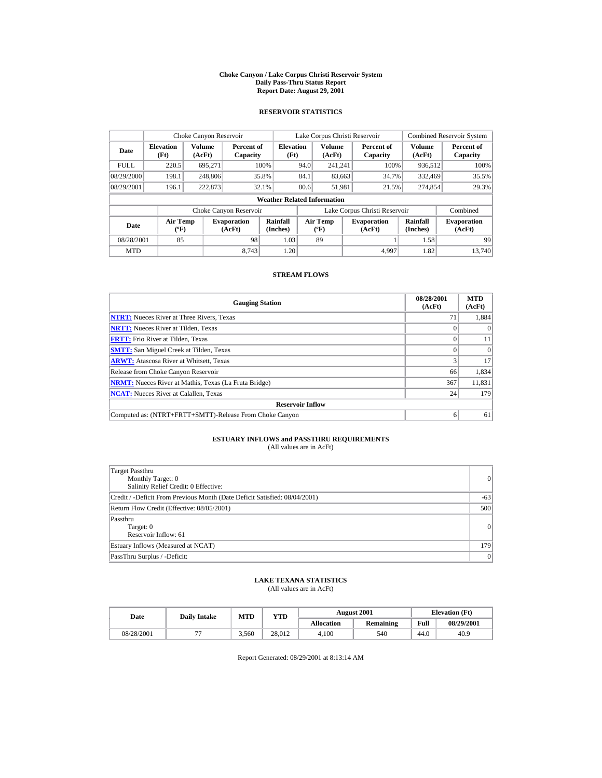#### **Choke Canyon / Lake Corpus Christi Reservoir System Daily Pass-Thru Status Report Report Date: August 29, 2001**

## **RESERVOIR STATISTICS**

|             | Choke Canyon Reservoir                      |                  |                              |                          | Lake Corpus Christi Reservoir |                                          |  |                               |                      | <b>Combined Reservoir System</b> |  |  |  |
|-------------|---------------------------------------------|------------------|------------------------------|--------------------------|-------------------------------|------------------------------------------|--|-------------------------------|----------------------|----------------------------------|--|--|--|
| Date        | <b>Elevation</b><br>(Ft)                    | Volume<br>(AcFt) | Percent of<br>Capacity       | <b>Elevation</b><br>(Ft) |                               | <b>Volume</b><br>(AcFt)                  |  | Percent of<br>Capacity        | Volume<br>(AcFt)     | Percent of<br>Capacity           |  |  |  |
| <b>FULL</b> | 220.5                                       | 695.271          |                              | 100%                     | 94.0                          | 241.241                                  |  | 100%                          | 936,512              | 100%                             |  |  |  |
| 08/29/2000  | 198.1                                       | 248,806          |                              | 35.8%                    | 84.1                          | 83,663                                   |  | 34.7%                         | 332,469              | 35.5%                            |  |  |  |
| 08/29/2001  | 196.1                                       | 222,873          |                              | 32.1%                    | 80.6                          | 51,981                                   |  | 21.5%                         | 274,854              | 29.3%                            |  |  |  |
|             | <b>Weather Related Information</b>          |                  |                              |                          |                               |                                          |  |                               |                      |                                  |  |  |  |
|             |                                             |                  | Choke Canyon Reservoir       |                          |                               |                                          |  | Lake Corpus Christi Reservoir |                      | Combined                         |  |  |  |
| Date        | <b>Air Temp</b><br>$({}^{\circ}\mathrm{F})$ |                  | <b>Evaporation</b><br>(AcFt) | Rainfall<br>(Inches)     |                               | <b>Air Temp</b><br>$({}^{\circ}{\rm F})$ |  | <b>Evaporation</b><br>(AcFt)  | Rainfall<br>(Inches) | <b>Evaporation</b><br>(AcFt)     |  |  |  |
| 08/28/2001  | 85                                          |                  | 98                           | 1.03                     |                               | 89                                       |  |                               | 1.58                 | 99                               |  |  |  |
| <b>MTD</b>  |                                             |                  | 8.743                        | 1.20                     |                               |                                          |  | 4.997                         | 1.82                 | 13.740                           |  |  |  |

## **STREAM FLOWS**

| <b>Gauging Station</b>                                       | 08/28/2001<br>(AcFt) | <b>MTD</b><br>(AcFt) |
|--------------------------------------------------------------|----------------------|----------------------|
| <b>NTRT:</b> Nueces River at Three Rivers, Texas             | 71                   | 1,884                |
| <b>NRTT:</b> Nueces River at Tilden, Texas                   |                      | $\theta$             |
| <b>FRTT:</b> Frio River at Tilden, Texas                     |                      | 11                   |
| <b>SMTT:</b> San Miguel Creek at Tilden, Texas               |                      | $\Omega$             |
| <b>ARWT:</b> Atascosa River at Whitsett, Texas               | 3                    | 17                   |
| Release from Choke Canyon Reservoir                          | 66                   | 1,834                |
| <b>NRMT:</b> Nueces River at Mathis, Texas (La Fruta Bridge) | 367                  | 11,831               |
| <b>NCAT:</b> Nueces River at Calallen, Texas                 | 24                   | 179                  |
| <b>Reservoir Inflow</b>                                      |                      |                      |
| Computed as: (NTRT+FRTT+SMTT)-Release From Choke Canyon      | 6                    | 61                   |

# **ESTUARY INFLOWS and PASSTHRU REQUIREMENTS**<br>(All values are in AcFt)

| Target Passthru<br>Monthly Target: 0<br>Salinity Relief Credit: 0 Effective: | 0     |
|------------------------------------------------------------------------------|-------|
| Credit / -Deficit From Previous Month (Date Deficit Satisfied: 08/04/2001)   | $-63$ |
| Return Flow Credit (Effective: 08/05/2001)                                   | 500   |
| Passthru<br>Target: 0<br>Reservoir Inflow: 61                                | 0     |
| Estuary Inflows (Measured at NCAT)                                           | 179   |
| PassThru Surplus / -Deficit:                                                 | 0     |

## **LAKE TEXANA STATISTICS**

(All values are in AcFt)

| Date |            | <b>Daily Intake</b> | <b>MTD</b> | YTD    | <b>August 2001</b> |                  |      | <b>Elevation</b> (Ft) |
|------|------------|---------------------|------------|--------|--------------------|------------------|------|-----------------------|
|      |            |                     |            |        | <b>Allocation</b>  | <b>Remaining</b> | Full | 08/29/2001            |
|      | 08/28/2001 |                     | .560       | 28.012 | 4.100              | 540              | 44.0 | 40.9                  |

Report Generated: 08/29/2001 at 8:13:14 AM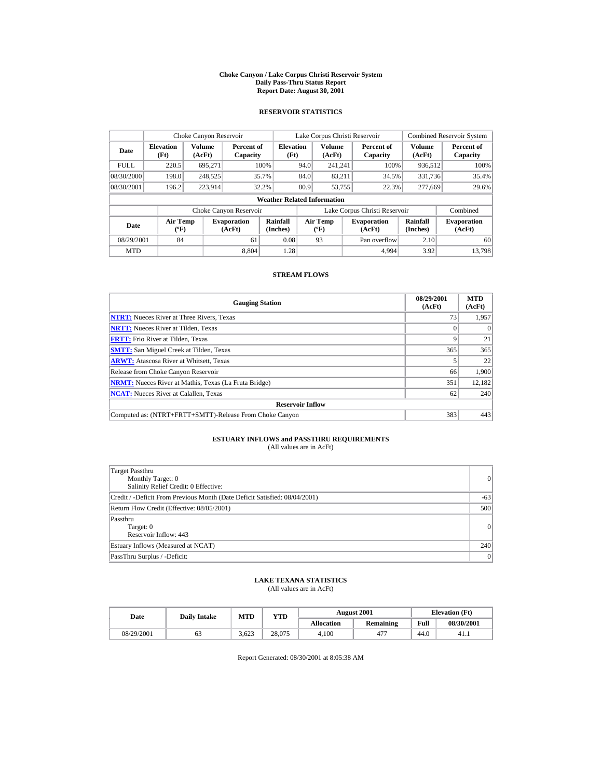#### **Choke Canyon / Lake Corpus Christi Reservoir System Daily Pass-Thru Status Report Report Date: August 30, 2001**

## **RESERVOIR STATISTICS**

|             | Choke Canyon Reservoir                           |                  |                              |                          | Lake Corpus Christi Reservoir |                           |  |                               |                      | <b>Combined Reservoir System</b> |  |  |  |
|-------------|--------------------------------------------------|------------------|------------------------------|--------------------------|-------------------------------|---------------------------|--|-------------------------------|----------------------|----------------------------------|--|--|--|
| Date        | <b>Elevation</b><br>(Ft)                         | Volume<br>(AcFt) | Percent of<br>Capacity       | <b>Elevation</b><br>(Ft) |                               | <b>Volume</b><br>(AcFt)   |  | Percent of<br>Capacity        | Volume<br>(AcFt)     | Percent of<br>Capacity           |  |  |  |
| <b>FULL</b> | 220.5                                            | 695.271          |                              | 100%                     | 94.0                          | 241.241                   |  | 100%                          | 936.512              | 100%                             |  |  |  |
| 08/30/2000  | 198.0                                            | 248,525          |                              | 35.7%                    | 84.0                          | 83.211                    |  | 34.5%                         | 331.736              | 35.4%                            |  |  |  |
| 08/30/2001  | 196.2                                            | 223.914          |                              | 32.2%                    | 80.9                          | 53,755                    |  | 22.3%                         | 277,669              | 29.6%                            |  |  |  |
|             | <b>Weather Related Information</b>               |                  |                              |                          |                               |                           |  |                               |                      |                                  |  |  |  |
|             |                                                  |                  | Choke Canyon Reservoir       |                          |                               |                           |  | Lake Corpus Christi Reservoir |                      | Combined                         |  |  |  |
| Date        | <b>Air Temp</b><br>$({}^{\mathrm{o}}\mathbf{F})$ |                  | <b>Evaporation</b><br>(AcFt) | Rainfall<br>(Inches)     |                               | Air Temp<br>$(^{\circ}F)$ |  | <b>Evaporation</b><br>(AcFt)  | Rainfall<br>(Inches) | <b>Evaporation</b><br>(AcFt)     |  |  |  |
| 08/29/2001  | 84                                               |                  | 61                           | 0.08                     |                               | 93                        |  | Pan overflow                  | 2.10                 | 60                               |  |  |  |
| <b>MTD</b>  |                                                  |                  | 8.804                        | 1.28                     |                               |                           |  | 4.994                         | 3.92                 | 13.798                           |  |  |  |

## **STREAM FLOWS**

| <b>Gauging Station</b>                                       | 08/29/2001<br>(AcFt) | <b>MTD</b><br>(AcFt) |
|--------------------------------------------------------------|----------------------|----------------------|
| <b>NTRT:</b> Nueces River at Three Rivers, Texas             | 73                   | 1,957                |
| <b>NRTT:</b> Nueces River at Tilden, Texas                   |                      | $\Omega$             |
| <b>FRTT:</b> Frio River at Tilden, Texas                     |                      | 21                   |
| <b>SMTT:</b> San Miguel Creek at Tilden, Texas               | 365                  | 365                  |
| <b>ARWT:</b> Atascosa River at Whitsett, Texas               |                      | 22                   |
| Release from Choke Canyon Reservoir                          | 66                   | 1,900                |
| <b>NRMT:</b> Nueces River at Mathis, Texas (La Fruta Bridge) | 351                  | 12,182               |
| <b>NCAT:</b> Nueces River at Calallen, Texas                 | 62                   | 240                  |
| <b>Reservoir Inflow</b>                                      |                      |                      |
| Computed as: (NTRT+FRTT+SMTT)-Release From Choke Canyon      | 383                  | 443                  |

# **ESTUARY INFLOWS and PASSTHRU REQUIREMENTS**<br>(All values are in AcFt)

| Target Passthru<br>Monthly Target: 0<br>Salinity Relief Credit: 0 Effective: | 0     |
|------------------------------------------------------------------------------|-------|
| Credit / -Deficit From Previous Month (Date Deficit Satisfied: 08/04/2001)   | $-63$ |
| Return Flow Credit (Effective: 08/05/2001)                                   | 500   |
| Passthru<br>Target: 0<br>Reservoir Inflow: 443                               | 0     |
| Estuary Inflows (Measured at NCAT)                                           | 240   |
| PassThru Surplus / -Deficit:                                                 | 0     |

## **LAKE TEXANA STATISTICS**

(All values are in AcFt)

| Date       | <b>Daily Intake</b> | <b>MTD</b> | YTD    |                   | <b>August 2001</b> |      | <b>Elevation</b> (Ft) |
|------------|---------------------|------------|--------|-------------------|--------------------|------|-----------------------|
|            |                     |            |        | <b>Allocation</b> | <b>Remaining</b>   | Full | 08/30/2001            |
| 08/29/2001 |                     | 3.623      | 28.075 | 4.100             | $-1$               | 44.0 | 41.1                  |

Report Generated: 08/30/2001 at 8:05:38 AM